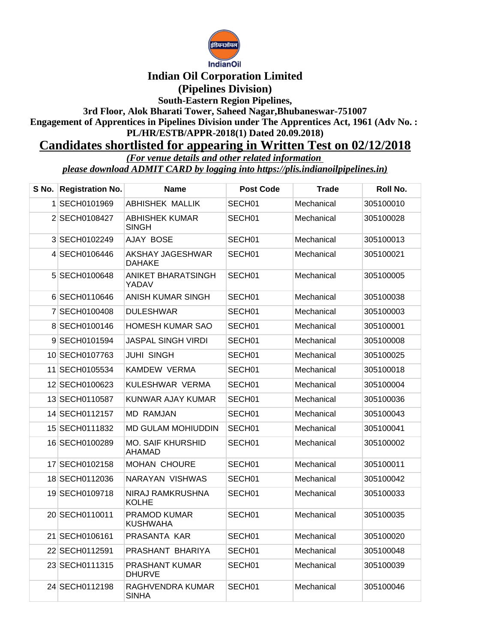

## **Indian Oil Corporation Limited (Pipelines Division)**

**South-Eastern Region Pipelines,**

**3rd Floor, Alok Bharati Tower, Saheed Nagar,Bhubaneswar-751007 Engagement of Apprentices in Pipelines Division under The Apprentices Act, 1961 (Adv No. :** 

**PL/HR/ESTB/APPR-2018(1) Dated 20.09.2018)**

## **Candidates shortlisted for appearing in Written Test on 02/12/2018**

*(For venue details and other related information* 

*please download ADMIT CARD by logging into https://plis.indianoilpipelines.in)*

| S No. Registration No. | <b>Name</b>                               | <b>Post Code</b>   | Trade      | Roll No.  |
|------------------------|-------------------------------------------|--------------------|------------|-----------|
| 1 SECH0101969          | <b>ABHISHEK MALLIK</b>                    | SECH <sub>01</sub> | Mechanical | 305100010 |
| 2 SECH0108427          | ABHISHEK KUMAR<br>SINGH                   | SECH <sub>01</sub> | Mechanical | 305100028 |
| 3 SECH0102249          | AJAY BOSE                                 | SECH01             | Mechanical | 305100013 |
| 4 SECH0106446          | <b>AKSHAY JAGESHWAR</b><br><b>DAHAKE</b>  | SECH <sub>01</sub> | Mechanical | 305100021 |
| 5 SECH0100648          | ANIKET BHARATSINGH<br>YADAV               | SECH <sub>01</sub> | Mechanical | 305100005 |
| 6 SECH0110646          | ANISH KUMAR SINGH                         | SECH <sub>01</sub> | Mechanical | 305100038 |
| 7 SECH0100408          | <b>DULESHWAR</b>                          | SECH <sub>01</sub> | Mechanical | 305100003 |
| 8 SECH0100146          | HOMESH KUMAR SAO                          | SECH <sub>01</sub> | Mechanical | 305100001 |
| 9 SECH0101594          | JASPAL SINGH VIRDI                        | SECH01             | Mechanical | 305100008 |
| 10 SECH0107763         | <b>JUHI SINGH</b>                         | SECH <sub>01</sub> | Mechanical | 305100025 |
| 11 SECH0105534         | KAMDEW VERMA                              | SECH <sub>01</sub> | Mechanical | 305100018 |
| 12 SECH0100623         | KULESHWAR VERMA                           | SECH01             | Mechanical | 305100004 |
| 13 SECH0110587         | KUNWAR AJAY KUMAR                         | SECH <sub>01</sub> | Mechanical | 305100036 |
| 14 SECH0112157         | <b>MD RAMJAN</b>                          | SECH01             | Mechanical | 305100043 |
| 15 SECH0111832         | MD GULAM MOHIUDDIN                        | SECH <sub>01</sub> | Mechanical | 305100041 |
| 16 SECH0100289         | <b>MO. SAIF KHURSHID</b><br><b>AHAMAD</b> | SECH <sub>01</sub> | Mechanical | 305100002 |
| 17 SECH0102158         | <b>MOHAN CHOURE</b>                       | SECH01             | Mechanical | 305100011 |
| 18 SECH0112036         | NARAYAN VISHWAS                           | SECH <sub>01</sub> | Mechanical | 305100042 |
| 19 SECH0109718         | NIRAJ RAMKRUSHNA<br>KOLHE                 | SECH01             | Mechanical | 305100033 |
| 20 SECH0110011         | <b>PRAMOD KUMAR</b><br><b>KUSHWAHA</b>    | SECH01             | Mechanical | 305100035 |
| 21 SECH0106161         | PRASANTA KAR                              | SECH <sub>01</sub> | Mechanical | 305100020 |
| 22 SECH0112591         | PRASHANT BHARIYA                          | SECH <sub>01</sub> | Mechanical | 305100048 |
| 23 SECH0111315         | PRASHANT KUMAR<br><b>DHURVE</b>           | SECH01             | Mechanical | 305100039 |
| 24 SECH0112198         | RAGHVENDRA KUMAR<br>SINHA                 | SECH <sub>01</sub> | Mechanical | 305100046 |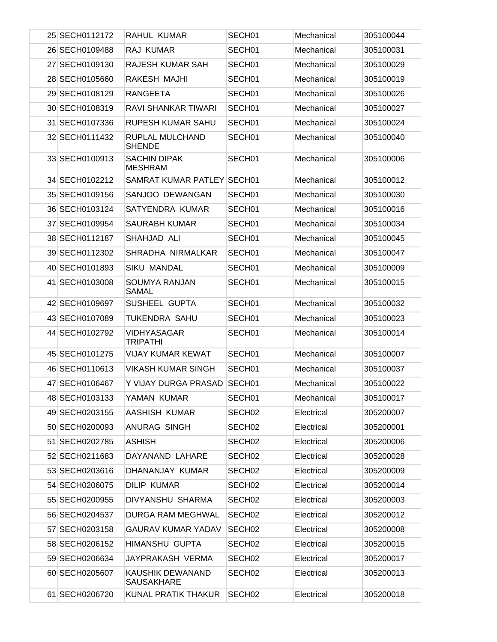| 25 SECH0112172 | RAHUL KUMAR                           | SECH01             | Mechanical | 305100044 |
|----------------|---------------------------------------|--------------------|------------|-----------|
| 26 SECH0109488 | RAJ KUMAR                             | SECH <sub>01</sub> | Mechanical | 305100031 |
| 27 SECH0109130 | RAJESH KUMAR SAH                      | SECH <sub>01</sub> | Mechanical | 305100029 |
| 28 SECH0105660 | RAKESH MAJHI                          | SECH01             | Mechanical | 305100019 |
| 29 SECH0108129 | <b>RANGEETA</b>                       | SECH <sub>01</sub> | Mechanical | 305100026 |
| 30 SECH0108319 | RAVI SHANKAR TIWARI                   | SECH <sub>01</sub> | Mechanical | 305100027 |
| 31 SECH0107336 | RUPESH KUMAR SAHU                     | SECH01             | Mechanical | 305100024 |
| 32 SECH0111432 | RUPLAL MULCHAND<br><b>SHENDE</b>      | SECH <sub>01</sub> | Mechanical | 305100040 |
| 33 SECH0100913 | <b>SACHIN DIPAK</b><br><b>MESHRAM</b> | SECH01             | Mechanical | 305100006 |
| 34 SECH0102212 | SAMRAT KUMAR PATLEY SECH01            |                    | Mechanical | 305100012 |
| 35 SECH0109156 | SANJOO DEWANGAN                       | SECH <sub>01</sub> | Mechanical | 305100030 |
| 36 SECH0103124 | SATYENDRA KUMAR                       | SECH <sub>01</sub> | Mechanical | 305100016 |
| 37 SECH0109954 | <b>SAURABH KUMAR</b>                  | SECH <sub>01</sub> | Mechanical | 305100034 |
| 38 SECH0112187 | SHAHJAD ALI                           | SECH <sub>01</sub> | Mechanical | 305100045 |
| 39 SECH0112302 | SHRADHA NIRMALKAR                     | SECH <sub>01</sub> | Mechanical | 305100047 |
| 40 SECH0101893 | <b>SIKU MANDAL</b>                    | SECH <sub>01</sub> | Mechanical | 305100009 |
| 41 SECH0103008 | SOUMYA RANJAN<br><b>SAMAL</b>         | SECH <sub>01</sub> | Mechanical | 305100015 |
| 42 SECH0109697 | SUSHEEL GUPTA                         | SECH01             | Mechanical | 305100032 |
| 43 SECH0107089 | <b>TUKENDRA SAHU</b>                  | SECH01             | Mechanical | 305100023 |
| 44 SECH0102792 | <b>VIDHYASAGAR</b><br><b>TRIPATHI</b> | SECH01             | Mechanical | 305100014 |
| 45 SECH0101275 | <b>VIJAY KUMAR KEWAT</b>              | SECH01             | Mechanical | 305100007 |
| 46 SECH0110613 | <b>VIKASH KUMAR SINGH</b>             | SECH01             | Mechanical | 305100037 |
| 47 SECH0106467 | Y VIJAY DURGA PRASAD                  | SECH01             | Mechanical | 305100022 |
| 48 SECH0103133 | YAMAN KUMAR                           | SECH01             | Mechanical | 305100017 |
| 49 SECH0203155 | AASHISH KUMAR                         | SECH <sub>02</sub> | Electrical | 305200007 |
| 50 SECH0200093 | <b>ANURAG SINGH</b>                   | SECH <sub>02</sub> | Electrical | 305200001 |
| 51 SECH0202785 | <b>ASHISH</b>                         | SECH <sub>02</sub> | Electrical | 305200006 |
| 52 SECH0211683 | DAYANAND LAHARE                       | SECH <sub>02</sub> | Electrical | 305200028 |
| 53 SECH0203616 | DHANANJAY KUMAR                       | SECH <sub>02</sub> | Electrical | 305200009 |
| 54 SECH0206075 | <b>DILIP KUMAR</b>                    | SECH <sub>02</sub> | Electrical | 305200014 |
| 55 SECH0200955 | DIVYANSHU SHARMA                      | SECH <sub>02</sub> | Electrical | 305200003 |
| 56 SECH0204537 | <b>DURGA RAM MEGHWAL</b>              | SECH <sub>02</sub> | Electrical | 305200012 |
| 57 SECH0203158 | <b>GAURAV KUMAR YADAV</b>             | SECH <sub>02</sub> | Electrical | 305200008 |
| 58 SECH0206152 | HIMANSHU GUPTA                        | SECH <sub>02</sub> | Electrical | 305200015 |
| 59 SECH0206634 | JAYPRAKASH VERMA                      | SECH <sub>02</sub> | Electrical | 305200017 |
| 60 SECH0205607 | KAUSHIK DEWANAND<br><b>SAUSAKHARE</b> | SECH <sub>02</sub> | Electrical | 305200013 |
| 61 SECH0206720 | KUNAL PRATIK THAKUR                   | SECH <sub>02</sub> | Electrical | 305200018 |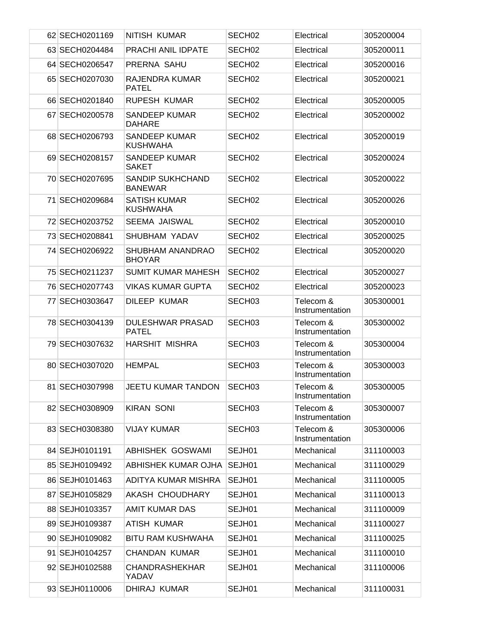| 62 SECH0201169 | NITISH KUMAR                              | SECH <sub>02</sub> | Electrical                   | 305200004 |
|----------------|-------------------------------------------|--------------------|------------------------------|-----------|
| 63 SECH0204484 | PRACHI ANIL IDPATE                        | SECH <sub>02</sub> | Electrical                   | 305200011 |
| 64 SECH0206547 | PRERNA SAHU                               | SECH <sub>02</sub> | Electrical                   | 305200016 |
| 65 SECH0207030 | RAJENDRA KUMAR<br><b>PATEL</b>            | SECH <sub>02</sub> | Electrical                   | 305200021 |
| 66 SECH0201840 | <b>RUPESH KUMAR</b>                       | SECH <sub>02</sub> | Electrical                   | 305200005 |
| 67 SECH0200578 | <b>SANDEEP KUMAR</b><br><b>DAHARE</b>     | SECH <sub>02</sub> | Electrical                   | 305200002 |
| 68 SECH0206793 | <b>SANDEEP KUMAR</b><br><b>KUSHWAHA</b>   | SECH <sub>02</sub> | Electrical                   | 305200019 |
| 69 SECH0208157 | <b>SANDEEP KUMAR</b><br><b>SAKET</b>      | SECH <sub>02</sub> | Electrical                   | 305200024 |
| 70 SECH0207695 | <b>SANDIP SUKHCHAND</b><br><b>BANEWAR</b> | SECH <sub>02</sub> | Electrical                   | 305200022 |
| 71 SECH0209684 | <b>SATISH KUMAR</b><br><b>KUSHWAHA</b>    | SECH <sub>02</sub> | Electrical                   | 305200026 |
| 72 SECH0203752 | SEEMA JAISWAL                             | SECH <sub>02</sub> | Electrical                   | 305200010 |
| 73 SECH0208841 | SHUBHAM YADAV                             | SECH <sub>02</sub> | Electrical                   | 305200025 |
| 74 SECH0206922 | <b>SHUBHAM ANANDRAO</b><br><b>BHOYAR</b>  | SECH <sub>02</sub> | Electrical                   | 305200020 |
| 75 SECH0211237 | <b>SUMIT KUMAR MAHESH</b>                 | SECH <sub>02</sub> | Electrical                   | 305200027 |
| 76 SECH0207743 | <b>VIKAS KUMAR GUPTA</b>                  | SECH <sub>02</sub> | Electrical                   | 305200023 |
| 77 SECH0303647 | DILEEP KUMAR                              | SECH <sub>03</sub> | Telecom &<br>Instrumentation | 305300001 |
| 78 SECH0304139 | <b>DULESHWAR PRASAD</b><br><b>PATEL</b>   | SECH <sub>03</sub> | Telecom &<br>Instrumentation | 305300002 |
| 79 SECH0307632 | <b>HARSHIT MISHRA</b>                     | SECH <sub>03</sub> | Telecom &<br>Instrumentation | 305300004 |
| 80 SECH0307020 | <b>HEMPAL</b>                             | SECH <sub>03</sub> | Telecom &<br>Instrumentation | 305300003 |
| 81 SECH0307998 | <b>JEETU KUMAR TANDON</b>                 | SECH <sub>03</sub> | Telecom &<br>Instrumentation | 305300005 |
| 82 SECH0308909 | <b>KIRAN SONI</b>                         | SECH <sub>03</sub> | Telecom &<br>Instrumentation | 305300007 |
| 83 SECH0308380 | <b>VIJAY KUMAR</b>                        | SECH <sub>03</sub> | Telecom &<br>Instrumentation | 305300006 |
| 84 SEJH0101191 | <b>ABHISHEK GOSWAMI</b>                   | SEJH01             | Mechanical                   | 311100003 |
| 85 SEJH0109492 | ABHISHEK KUMAR OJHA                       | SEJH01             | Mechanical                   | 311100029 |
| 86 SEJH0101463 | ADITYA KUMAR MISHRA                       | SEJH01             | Mechanical                   | 311100005 |
| 87 SEJH0105829 | AKASH CHOUDHARY                           | SEJH01             | Mechanical                   | 311100013 |
| 88 SEJH0103357 | <b>AMIT KUMAR DAS</b>                     | SEJH01             | Mechanical                   | 311100009 |
| 89 SEJH0109387 | ATISH KUMAR                               | SEJH01             | Mechanical                   | 311100027 |
| 90 SEJH0109082 | <b>BITU RAM KUSHWAHA</b>                  | SEJH01             | Mechanical                   | 311100025 |
| 91 SEJH0104257 | <b>CHANDAN KUMAR</b>                      | SEJH01             | Mechanical                   | 311100010 |
| 92 SEJH0102588 | <b>CHANDRASHEKHAR</b><br>YADAV            | SEJH01             | Mechanical                   | 311100006 |
| 93 SEJH0110006 | DHIRAJ KUMAR                              | SEJH01             | Mechanical                   | 311100031 |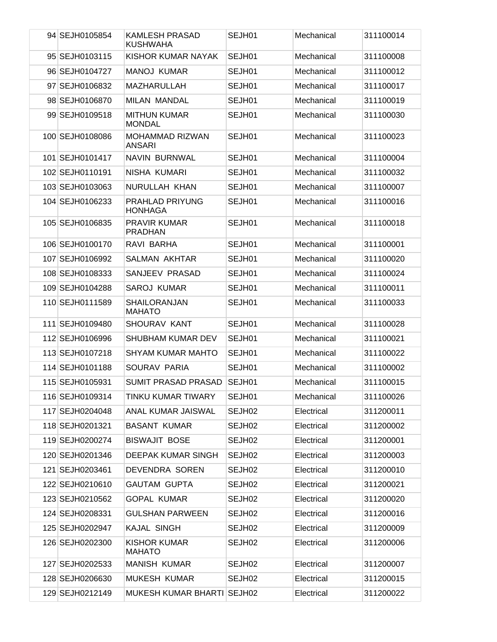| 94 SEJH0105854  | <b>KAMLESH PRASAD</b><br><b>KUSHWAHA</b> | SEJH01             | Mechanical | 311100014 |
|-----------------|------------------------------------------|--------------------|------------|-----------|
| 95 SEJH0103115  | KISHOR KUMAR NAYAK                       | SEJH01             | Mechanical | 311100008 |
| 96 SEJH0104727  | <b>MANOJ KUMAR</b>                       | SEJH01             | Mechanical | 311100012 |
| 97 SEJH0106832  | MAZHARULLAH                              | SEJH01             | Mechanical | 311100017 |
| 98 SEJH0106870  | <b>MILAN MANDAL</b>                      | SEJH01             | Mechanical | 311100019 |
| 99 SEJH0109518  | <b>MITHUN KUMAR</b><br><b>MONDAL</b>     | SEJH01             | Mechanical | 311100030 |
| 100 SEJH0108086 | <b>MOHAMMAD RIZWAN</b><br><b>ANSARI</b>  | SEJH01             | Mechanical | 311100023 |
| 101 SEJH0101417 | NAVIN BURNWAL                            | SEJH01             | Mechanical | 311100004 |
| 102 SEJH0110191 | NISHA KUMARI                             | SEJH01             | Mechanical | 311100032 |
| 103 SEJH0103063 | NURULLAH KHAN                            | SEJH01             | Mechanical | 311100007 |
| 104 SEJH0106233 | PRAHLAD PRIYUNG<br><b>HONHAGA</b>        | SEJH01             | Mechanical | 311100016 |
| 105 SEJH0106835 | <b>PRAVIR KUMAR</b><br><b>PRADHAN</b>    | SEJH01             | Mechanical | 311100018 |
| 106 SEJH0100170 | RAVI BARHA                               | SEJH01             | Mechanical | 311100001 |
| 107 SEJH0106992 | SALMAN AKHTAR                            | SEJH01             | Mechanical | 311100020 |
| 108 SEJH0108333 | SANJEEV PRASAD                           | SEJH01             | Mechanical | 311100024 |
| 109 SEJH0104288 | <b>SAROJ KUMAR</b>                       | SEJH01             | Mechanical | 311100011 |
| 110 SEJH0111589 | <b>SHAILORANJAN</b><br><b>MAHATO</b>     | SEJH01             | Mechanical | 311100033 |
| 111 SEJH0109480 | <b>SHOURAV KANT</b>                      | SEJH01             | Mechanical | 311100028 |
| 112 SEJH0106996 | SHUBHAM KUMAR DEV                        | SEJH01             | Mechanical | 311100021 |
| 113 SEJH0107218 | SHYAM KUMAR MAHTO                        | SEJH01             | Mechanical | 311100022 |
| 114 SEJH0101188 | SOURAV PARIA                             | SEJH01             | Mechanical | 311100002 |
| 115 SEJH0105931 | <b>SUMIT PRASAD PRASAD</b>               | SEJH01             | Mechanical | 311100015 |
| 116 SEJH0109314 | TINKU KUMAR TIWARY                       | SEJH01             | Mechanical | 311100026 |
| 117 SEJH0204048 | ANAL KUMAR JAISWAL                       | SEJH02             | Electrical | 311200011 |
| 118 SEJH0201321 | <b>BASANT KUMAR</b>                      | SEJH02             | Electrical | 311200002 |
| 119 SEJH0200274 | <b>BISWAJIT BOSE</b>                     | SEJH <sub>02</sub> | Electrical | 311200001 |
| 120 SEJH0201346 | <b>DEEPAK KUMAR SINGH</b>                | SEJH02             | Electrical | 311200003 |
| 121 SEJH0203461 | DEVENDRA SOREN                           | SEJH <sub>02</sub> | Electrical | 311200010 |
| 122 SEJH0210610 | <b>GAUTAM GUPTA</b>                      | SEJH <sub>02</sub> | Electrical | 311200021 |
| 123 SEJH0210562 | <b>GOPAL KUMAR</b>                       | SEJH <sub>02</sub> | Electrical | 311200020 |
| 124 SEJH0208331 | <b>GULSHAN PARWEEN</b>                   | SEJH <sub>02</sub> | Electrical | 311200016 |
| 125 SEJH0202947 | <b>KAJAL SINGH</b>                       | SEJH <sub>02</sub> | Electrical | 311200009 |
| 126 SEJH0202300 | <b>KISHOR KUMAR</b><br><b>MAHATO</b>     | SEJH <sub>02</sub> | Electrical | 311200006 |
| 127 SEJH0202533 | <b>MANISH KUMAR</b>                      | SEJH02             | Electrical | 311200007 |
| 128 SEJH0206630 | <b>MUKESH KUMAR</b>                      | SEJH <sub>02</sub> | Electrical | 311200015 |
| 129 SEJH0212149 | MUKESH KUMAR BHARTI SEJH02               |                    | Electrical | 311200022 |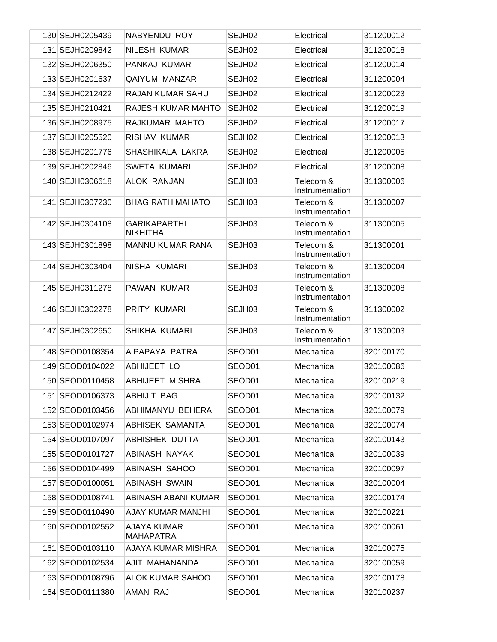| 130 SEJH0205439 | NABYENDU ROY                           | SEJH <sub>02</sub> | Electrical                   | 311200012 |
|-----------------|----------------------------------------|--------------------|------------------------------|-----------|
| 131 SEJH0209842 | <b>NILESH KUMAR</b>                    | SEJH02             | Electrical                   | 311200018 |
| 132 SEJH0206350 | PANKAJ KUMAR                           | SEJH <sub>02</sub> | Electrical                   | 311200014 |
| 133 SEJH0201637 | <b>QAIYUM MANZAR</b>                   | SEJH <sub>02</sub> | Electrical                   | 311200004 |
| 134 SEJH0212422 | <b>RAJAN KUMAR SAHU</b>                | SEJH <sub>02</sub> | Electrical                   | 311200023 |
| 135 SEJH0210421 | RAJESH KUMAR MAHTO                     | SEJH <sub>02</sub> | Electrical                   | 311200019 |
| 136 SEJH0208975 | RAJKUMAR MAHTO                         | SEJH <sub>02</sub> | Electrical                   | 311200017 |
| 137 SEJH0205520 | <b>RISHAV KUMAR</b>                    | SEJH02             | Electrical                   | 311200013 |
| 138 SEJH0201776 | SHASHIKALA LAKRA                       | SEJH <sub>02</sub> | Electrical                   | 311200005 |
| 139 SEJH0202846 | <b>SWETA KUMARI</b>                    | SEJH <sub>02</sub> | Electrical                   | 311200008 |
| 140 SEJH0306618 | <b>ALOK RANJAN</b>                     | SEJH03             | Telecom &<br>Instrumentation | 311300006 |
| 141 SEJH0307230 | <b>BHAGIRATH MAHATO</b>                | SEJH03             | Telecom &<br>Instrumentation | 311300007 |
| 142 SEJH0304108 | <b>GARIKAPARTHI</b><br><b>NIKHITHA</b> | SEJH03             | Telecom &<br>Instrumentation | 311300005 |
| 143 SEJH0301898 | <b>MANNU KUMAR RANA</b>                | SEJH03             | Telecom &<br>Instrumentation | 311300001 |
| 144 SEJH0303404 | NISHA KUMARI                           | SEJH03             | Telecom &<br>Instrumentation | 311300004 |
| 145 SEJH0311278 | PAWAN KUMAR                            | SEJH03             | Telecom &<br>Instrumentation | 311300008 |
| 146 SEJH0302278 | PRITY KUMARI                           | SEJH03             | Telecom &<br>Instrumentation | 311300002 |
| 147 SEJH0302650 | SHIKHA KUMARI                          | SEJH03             | Telecom &<br>Instrumentation | 311300003 |
| 148 SEOD0108354 | A PAPAYA PATRA                         | SEOD01             | Mechanical                   | 320100170 |
| 149 SEOD0104022 | ABHIJEET LO                            | SEOD01             | Mechanical                   | 320100086 |
| 150 SEOD0110458 | <b>ABHIJEET MISHRA</b>                 | SEOD01             | Mechanical                   | 320100219 |
| 151 SEOD0106373 | ABHIJIT BAG                            | SEOD01             | Mechanical                   | 320100132 |
| 152 SEOD0103456 | ABHIMANYU BEHERA                       | SEOD01             | Mechanical                   | 320100079 |
| 153 SEOD0102974 | ABHISEK SAMANTA                        | SEOD01             | Mechanical                   | 320100074 |
| 154 SEOD0107097 | ABHISHEK DUTTA                         | SEOD01             | Mechanical                   | 320100143 |
| 155 SEOD0101727 | ABINASH NAYAK                          | SEOD01             | Mechanical                   | 320100039 |
| 156 SEOD0104499 | <b>ABINASH SAHOO</b>                   | SEOD01             | Mechanical                   | 320100097 |
| 157 SEOD0100051 | ABINASH SWAIN                          | SEOD01             | Mechanical                   | 320100004 |
| 158 SEOD0108741 | ABINASH ABANI KUMAR                    | SEOD01             | Mechanical                   | 320100174 |
| 159 SEOD0110490 | AJAY KUMAR MANJHI                      | SEOD01             | Mechanical                   | 320100221 |
| 160 SEOD0102552 | AJAYA KUMAR<br><b>MAHAPATRA</b>        | SEOD01             | Mechanical                   | 320100061 |
| 161 SEOD0103110 | AJAYA KUMAR MISHRA                     | SEOD01             | Mechanical                   | 320100075 |
| 162 SEOD0102534 | AJIT MAHANANDA                         | SEOD01             | Mechanical                   | 320100059 |
| 163 SEOD0108796 | <b>ALOK KUMAR SAHOO</b>                | SEOD01             | Mechanical                   | 320100178 |
| 164 SEOD0111380 | AMAN RAJ                               | SEOD01             | Mechanical                   | 320100237 |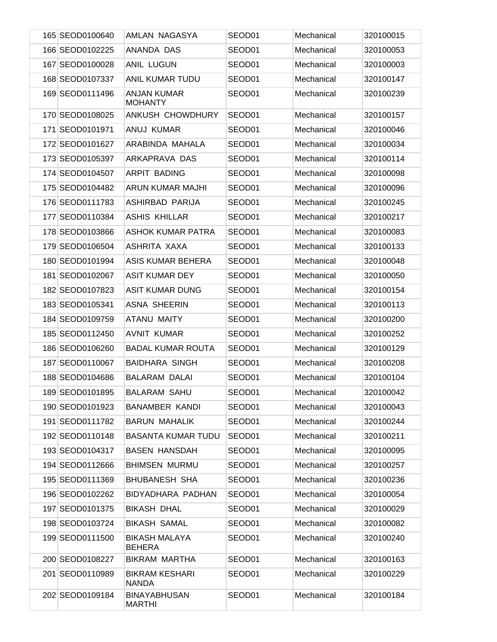| 165 SEOD0100640 | AMLAN NAGASYA                         | SEOD01 | Mechanical | 320100015 |
|-----------------|---------------------------------------|--------|------------|-----------|
| 166 SEOD0102225 | ANANDA DAS                            | SEOD01 | Mechanical | 320100053 |
| 167 SEOD0100028 | <b>ANIL LUGUN</b>                     | SEOD01 | Mechanical | 320100003 |
| 168 SEOD0107337 | <b>ANIL KUMAR TUDU</b>                | SEOD01 | Mechanical | 320100147 |
| 169 SEOD0111496 | <b>ANJAN KUMAR</b><br><b>MOHANTY</b>  | SEOD01 | Mechanical | 320100239 |
| 170 SEOD0108025 | ANKUSH CHOWDHURY                      | SEOD01 | Mechanical | 320100157 |
| 171 SEOD0101971 | ANUJ KUMAR                            | SEOD01 | Mechanical | 320100046 |
| 172 SEOD0101627 | ARABINDA MAHALA                       | SEOD01 | Mechanical | 320100034 |
| 173 SEOD0105397 | ARKAPRAVA DAS                         | SEOD01 | Mechanical | 320100114 |
| 174 SEOD0104507 | <b>ARPIT BADING</b>                   | SEOD01 | Mechanical | 320100098 |
| 175 SEOD0104482 | ARUN KUMAR MAJHI                      | SEOD01 | Mechanical | 320100096 |
| 176 SEOD0111783 | <b>ASHIRBAD PARIJA</b>                | SEOD01 | Mechanical | 320100245 |
| 177 SEOD0110384 | <b>ASHIS KHILLAR</b>                  | SEOD01 | Mechanical | 320100217 |
| 178 SEOD0103866 | <b>ASHOK KUMAR PATRA</b>              | SEOD01 | Mechanical | 320100083 |
| 179 SEOD0106504 | ASHRITA XAXA                          | SEOD01 | Mechanical | 320100133 |
| 180 SEOD0101994 | <b>ASIS KUMAR BEHERA</b>              | SEOD01 | Mechanical | 320100048 |
| 181 SEOD0102067 | <b>ASIT KUMAR DEY</b>                 | SEOD01 | Mechanical | 320100050 |
| 182 SEOD0107823 | <b>ASIT KUMAR DUNG</b>                | SEOD01 | Mechanical | 320100154 |
| 183 SEOD0105341 | <b>ASNA SHEERIN</b>                   | SEOD01 | Mechanical | 320100113 |
| 184 SEOD0109759 | <b>ATANU MAITY</b>                    | SEOD01 | Mechanical | 320100200 |
| 185 SEOD0112450 | <b>AVNIT KUMAR</b>                    | SEOD01 | Mechanical | 320100252 |
| 186 SEOD0106260 | <b>BADAL KUMAR ROUTA</b>              | SEOD01 | Mechanical | 320100129 |
| 187 SEOD0110067 | <b>BAIDHARA SINGH</b>                 | SEOD01 | Mechanical | 320100208 |
| 188 SEOD0104686 | <b>BALARAM DALAI</b>                  | SEOD01 | Mechanical | 320100104 |
| 189 SEOD0101895 | <b>BALARAM SAHU</b>                   | SEOD01 | Mechanical | 320100042 |
| 190 SEOD0101923 | <b>BANAMBER KANDI</b>                 | SEOD01 | Mechanical | 320100043 |
| 191 SEOD0111782 | <b>BARUN MAHALIK</b>                  | SEOD01 | Mechanical | 320100244 |
| 192 SEOD0110148 | <b>BASANTA KUMAR TUDU</b>             | SEOD01 | Mechanical | 320100211 |
| 193 SEOD0104317 | <b>BASEN HANSDAH</b>                  | SEOD01 | Mechanical | 320100095 |
| 194 SEOD0112666 | <b>BHIMSEN MURMU</b>                  | SEOD01 | Mechanical | 320100257 |
| 195 SEOD0111369 | <b>BHUBANESH SHA</b>                  | SEOD01 | Mechanical | 320100236 |
| 196 SEOD0102262 | BIDYADHARA PADHAN                     | SEOD01 | Mechanical | 320100054 |
| 197 SEOD0101375 | <b>BIKASH DHAL</b>                    | SEOD01 | Mechanical | 320100029 |
| 198 SEOD0103724 | <b>BIKASH SAMAL</b>                   | SEOD01 | Mechanical | 320100082 |
| 199 SEOD0111500 | <b>BIKASH MALAYA</b><br><b>BEHERA</b> | SEOD01 | Mechanical | 320100240 |
| 200 SEOD0108227 | BIKRAM MARTHA                         | SEOD01 | Mechanical | 320100163 |
| 201 SEOD0110989 | <b>BIKRAM KESHARI</b><br>NANDA        | SEOD01 | Mechanical | 320100229 |
| 202 SEOD0109184 | <b>BINAYABHUSAN</b><br>MARTHI         | SEOD01 | Mechanical | 320100184 |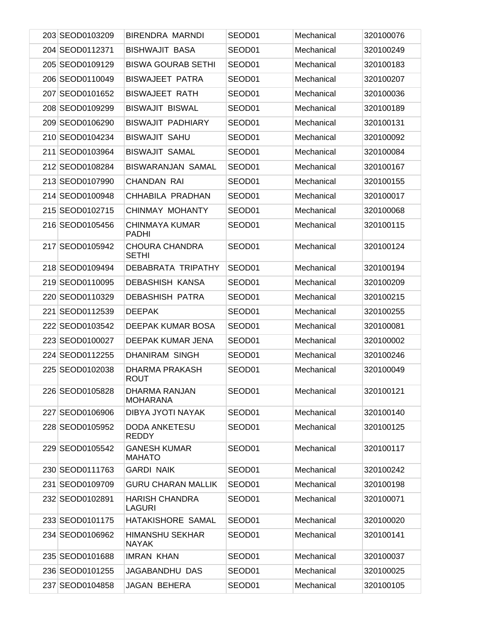| 203 SEOD0103209 | <b>BIRENDRA MARNDI</b>                 | SEOD01 | Mechanical | 320100076 |
|-----------------|----------------------------------------|--------|------------|-----------|
| 204 SEOD0112371 | <b>BISHWAJIT BASA</b>                  | SEOD01 | Mechanical | 320100249 |
| 205 SEOD0109129 | <b>BISWA GOURAB SETHI</b>              | SEOD01 | Mechanical | 320100183 |
| 206 SEOD0110049 | <b>BISWAJEET PATRA</b>                 | SEOD01 | Mechanical | 320100207 |
| 207 SEOD0101652 | <b>BISWAJEET RATH</b>                  | SEOD01 | Mechanical | 320100036 |
| 208 SEOD0109299 | <b>BISWAJIT BISWAL</b>                 | SEOD01 | Mechanical | 320100189 |
| 209 SEOD0106290 | <b>BISWAJIT PADHIARY</b>               | SEOD01 | Mechanical | 320100131 |
| 210 SEOD0104234 | <b>BISWAJIT SAHU</b>                   | SEOD01 | Mechanical | 320100092 |
| 211 SEOD0103964 | <b>BISWAJIT SAMAL</b>                  | SEOD01 | Mechanical | 320100084 |
| 212 SEOD0108284 | <b>BISWARANJAN SAMAL</b>               | SEOD01 | Mechanical | 320100167 |
| 213 SEOD0107990 | CHANDAN RAI                            | SEOD01 | Mechanical | 320100155 |
| 214 SEOD0100948 | CHHABILA PRADHAN                       | SEOD01 | Mechanical | 320100017 |
| 215 SEOD0102715 | CHINMAY MOHANTY                        | SEOD01 | Mechanical | 320100068 |
| 216 SEOD0105456 | CHINMAYA KUMAR<br><b>PADHI</b>         | SEOD01 | Mechanical | 320100115 |
| 217 SEOD0105942 | <b>CHOURA CHANDRA</b><br><b>SETHI</b>  | SEOD01 | Mechanical | 320100124 |
| 218 SEOD0109494 | DEBABRATA TRIPATHY                     | SEOD01 | Mechanical | 320100194 |
| 219 SEOD0110095 | <b>DEBASHISH KANSA</b>                 | SEOD01 | Mechanical | 320100209 |
| 220 SEOD0110329 | <b>DEBASHISH PATRA</b>                 | SEOD01 | Mechanical | 320100215 |
| 221 SEOD0112539 | <b>DEEPAK</b>                          | SEOD01 | Mechanical | 320100255 |
| 222 SEOD0103542 | DEEPAK KUMAR BOSA                      | SEOD01 | Mechanical | 320100081 |
| 223 SEOD0100027 | DEEPAK KUMAR JENA                      | SEOD01 | Mechanical | 320100002 |
| 224 SEOD0112255 | DHANIRAM SINGH                         | SEOD01 | Mechanical | 320100246 |
| 225 SEOD0102038 | <b>DHARMA PRAKASH</b><br><b>ROUT</b>   | SEOD01 | Mechanical | 320100049 |
| 226 SEOD0105828 | DHARMA RANJAN<br><b>MOHARANA</b>       | SEOD01 | Mechanical | 320100121 |
| 227 SEOD0106906 | DIBYA JYOTI NAYAK                      | SEOD01 | Mechanical | 320100140 |
| 228 SEOD0105952 | <b>DODA ANKETESU</b><br><b>REDDY</b>   | SEOD01 | Mechanical | 320100125 |
| 229 SEOD0105542 | <b>GANESH KUMAR</b><br><b>MAHATO</b>   | SEOD01 | Mechanical | 320100117 |
| 230 SEOD0111763 | <b>GARDI NAIK</b>                      | SEOD01 | Mechanical | 320100242 |
| 231 SEOD0109709 | <b>GURU CHARAN MALLIK</b>              | SEOD01 | Mechanical | 320100198 |
| 232 SEOD0102891 | <b>HARISH CHANDRA</b><br><b>LAGURI</b> | SEOD01 | Mechanical | 320100071 |
| 233 SEOD0101175 | HATAKISHORE SAMAL                      | SEOD01 | Mechanical | 320100020 |
| 234 SEOD0106962 | <b>HIMANSHU SEKHAR</b><br><b>NAYAK</b> | SEOD01 | Mechanical | 320100141 |
| 235 SEOD0101688 | <b>IMRAN KHAN</b>                      | SEOD01 | Mechanical | 320100037 |
| 236 SEOD0101255 | JAGABANDHU DAS                         | SEOD01 | Mechanical | 320100025 |
| 237 SEOD0104858 | JAGAN BEHERA                           | SEOD01 | Mechanical | 320100105 |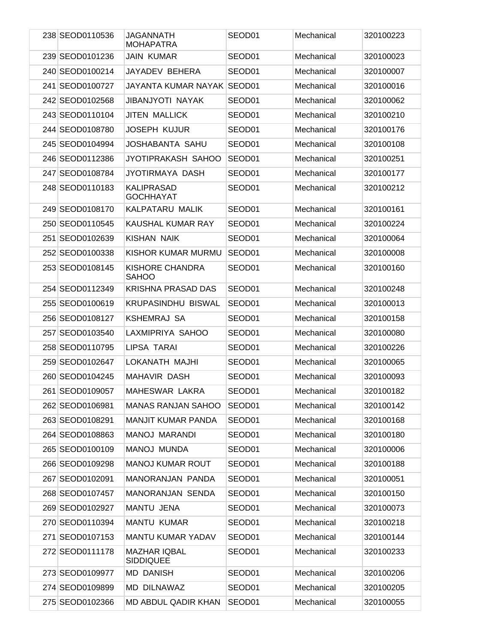| 238 SEOD0110536 | <b>JAGANNATH</b><br><b>MOHAPATRA</b>    | SEOD01             | Mechanical | 320100223 |
|-----------------|-----------------------------------------|--------------------|------------|-----------|
| 239 SEOD0101236 | <b>JAIN KUMAR</b>                       | SEOD01             | Mechanical | 320100023 |
| 240 SEOD0100214 | JAYADEV BEHERA                          | SEOD01             | Mechanical | 320100007 |
| 241 SEOD0100727 | JAYANTA KUMAR NAYAK SEOD01              |                    | Mechanical | 320100016 |
| 242 SEOD0102568 | <b>JIBANJYOTI NAYAK</b>                 | SEOD01             | Mechanical | 320100062 |
| 243 SEOD0110104 | <b>JITEN MALLICK</b>                    | SEOD01             | Mechanical | 320100210 |
| 244 SEOD0108780 | <b>JOSEPH KUJUR</b>                     | SEOD01             | Mechanical | 320100176 |
| 245 SEOD0104994 | <b>JOSHABANTA SAHU</b>                  | SEOD <sub>01</sub> | Mechanical | 320100108 |
| 246 SEOD0112386 | JYOTIPRAKASH SAHOO                      | SEOD01             | Mechanical | 320100251 |
| 247 SEOD0108784 | JYOTIRMAYA DASH                         | SEOD01             | Mechanical | 320100177 |
| 248 SEOD0110183 | KALIPRASAD<br><b>GOCHHAYAT</b>          | SEOD01             | Mechanical | 320100212 |
| 249 SEOD0108170 | KALPATARU MALIK                         | SEOD01             | Mechanical | 320100161 |
| 250 SEOD0110545 | KAUSHAL KUMAR RAY                       | SEOD01             | Mechanical | 320100224 |
| 251 SEOD0102639 | <b>KISHAN NAIK</b>                      | SEOD01             | Mechanical | 320100064 |
| 252 SEOD0100338 | KISHOR KUMAR MURMU                      | SEOD <sub>01</sub> | Mechanical | 320100008 |
| 253 SEOD0108145 | KISHORE CHANDRA<br><b>SAHOO</b>         | SEOD01             | Mechanical | 320100160 |
| 254 SEOD0112349 | <b>KRISHNA PRASAD DAS</b>               | SEOD01             | Mechanical | 320100248 |
| 255 SEOD0100619 | <b>KRUPASINDHU BISWAL</b>               | SEOD01             | Mechanical | 320100013 |
| 256 SEOD0108127 | <b>KSHEMRAJ SA</b>                      | SEOD01             | Mechanical | 320100158 |
| 257 SEOD0103540 | LAXMIPRIYA SAHOO                        | SEOD01             | Mechanical | 320100080 |
| 258 SEOD0110795 | LIPSA TARAI                             | SEOD01             | Mechanical | 320100226 |
| 259 SEOD0102647 | LOKANATH MAJHI                          | SEOD01             | Mechanical | 320100065 |
| 260 SEOD0104245 | <b>MAHAVIR DASH</b>                     | SEOD01             | Mechanical | 320100093 |
| 261 SEOD0109057 | MAHESWAR LAKRA                          | SEOD01             | Mechanical | 320100182 |
| 262 SEOD0106981 | <b>MANAS RANJAN SAHOO</b>               | SEOD01             | Mechanical | 320100142 |
| 263 SEOD0108291 | MANJIT KUMAR PANDA                      | SEOD01             | Mechanical | 320100168 |
| 264 SEOD0108863 | <b>MANOJ MARANDI</b>                    | SEOD01             | Mechanical | 320100180 |
| 265 SEOD0100109 | MANOJ MUNDA                             | SEOD01             | Mechanical | 320100006 |
| 266 SEOD0109298 | <b>MANOJ KUMAR ROUT</b>                 | SEOD01             | Mechanical | 320100188 |
| 267 SEOD0102091 | MANORANJAN PANDA                        | SEOD01             | Mechanical | 320100051 |
| 268 SEOD0107457 | MANORANJAN SENDA                        | SEOD01             | Mechanical | 320100150 |
| 269 SEOD0102927 | MANTU JENA                              | SEOD01             | Mechanical | 320100073 |
| 270 SEOD0110394 | <b>MANTU KUMAR</b>                      | SEOD01             | Mechanical | 320100218 |
| 271 SEOD0107153 | <b>MANTU KUMAR YADAV</b>                | SEOD01             | Mechanical | 320100144 |
| 272 SEOD0111178 | <b>MAZHAR IQBAL</b><br><b>SIDDIQUEE</b> | SEOD01             | Mechanical | 320100233 |
| 273 SEOD0109977 | MD DANISH                               | SEOD01             | Mechanical | 320100206 |
| 274 SEOD0109899 | MD DILNAWAZ                             | SEOD01             | Mechanical | 320100205 |
| 275 SEOD0102366 | MD ABDUL QADIR KHAN                     | SEOD01             | Mechanical | 320100055 |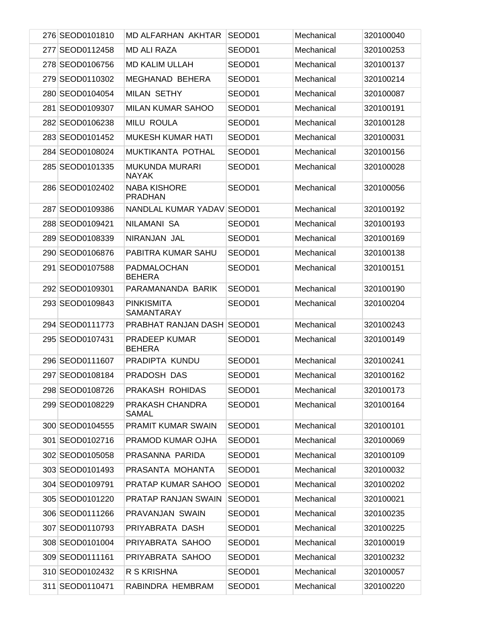| 276 SEOD0101810 | <b>MD ALFARHAN AKHTAR</b>             | SEOD01 | Mechanical | 320100040 |
|-----------------|---------------------------------------|--------|------------|-----------|
| 277 SEOD0112458 | <b>MD ALI RAZA</b>                    | SEOD01 | Mechanical | 320100253 |
| 278 SEOD0106756 | <b>MD KALIM ULLAH</b>                 | SEOD01 | Mechanical | 320100137 |
| 279 SEOD0110302 | MEGHANAD BEHERA                       | SEOD01 | Mechanical | 320100214 |
| 280 SEOD0104054 | <b>MILAN SETHY</b>                    | SEOD01 | Mechanical | 320100087 |
| 281 SEOD0109307 | MILAN KUMAR SAHOO                     | SEOD01 | Mechanical | 320100191 |
| 282 SEOD0106238 | <b>MILU ROULA</b>                     | SEOD01 | Mechanical | 320100128 |
| 283 SEOD0101452 | <b>MUKESH KUMAR HATI</b>              | SEOD01 | Mechanical | 320100031 |
| 284 SEOD0108024 | MUKTIKANTA POTHAL                     | SEOD01 | Mechanical | 320100156 |
| 285 SEOD0101335 | MUKUNDA MURARI<br>NAYAK               | SEOD01 | Mechanical | 320100028 |
| 286 SEOD0102402 | <b>NABA KISHORE</b><br><b>PRADHAN</b> | SEOD01 | Mechanical | 320100056 |
| 287 SEOD0109386 | NANDLAL KUMAR YADAV SEOD01            |        | Mechanical | 320100192 |
| 288 SEOD0109421 | NILAMANI SA                           | SEOD01 | Mechanical | 320100193 |
| 289 SEOD0108339 | NIRANJAN JAL                          | SEOD01 | Mechanical | 320100169 |
| 290 SEOD0106876 | PABITRA KUMAR SAHU                    | SEOD01 | Mechanical | 320100138 |
| 291 SEOD0107588 | PADMALOCHAN<br><b>BEHERA</b>          | SEOD01 | Mechanical | 320100151 |
| 292 SEOD0109301 | PARAMANANDA BARIK                     | SEOD01 | Mechanical | 320100190 |
| 293 SEOD0109843 | PINKISMITA<br>SAMANTARAY              | SEOD01 | Mechanical | 320100204 |
| 294 SEOD0111773 | <b>PRABHAT RANJAN DASH SEOD01</b>     |        | Mechanical | 320100243 |
| 295 SEOD0107431 | PRADEEP KUMAR<br><b>BEHERA</b>        | SEOD01 | Mechanical | 320100149 |
| 296 SEOD0111607 | PRADIPTA KUNDU                        | SEOD01 | Mechanical | 320100241 |
| 297 SEOD0108184 | PRADOSH DAS                           | SEOD01 | Mechanical | 320100162 |
| 298 SEOD0108726 | PRAKASH ROHIDAS                       | SEOD01 | Mechanical | 320100173 |
| 299 SEOD0108229 | PRAKASH CHANDRA<br>SAMAL              | SEOD01 | Mechanical | 320100164 |
| 300 SEOD0104555 | <b>PRAMIT KUMAR SWAIN</b>             | SEOD01 | Mechanical | 320100101 |
| 301 SEOD0102716 | PRAMOD KUMAR OJHA                     | SEOD01 | Mechanical | 320100069 |
| 302 SEOD0105058 | PRASANNA PARIDA                       | SEOD01 | Mechanical | 320100109 |
| 303 SEOD0101493 | PRASANTA MOHANTA                      | SEOD01 | Mechanical | 320100032 |
| 304 SEOD0109791 | <b>PRATAP KUMAR SAHOO</b>             | SEOD01 | Mechanical | 320100202 |
| 305 SEOD0101220 | PRATAP RANJAN SWAIN                   | SEOD01 | Mechanical | 320100021 |
| 306 SEOD0111266 | PRAVANJAN SWAIN                       | SEOD01 | Mechanical | 320100235 |
| 307 SEOD0110793 | PRIYABRATA DASH                       | SEOD01 | Mechanical | 320100225 |
| 308 SEOD0101004 | PRIYABRATA SAHOO                      | SEOD01 | Mechanical | 320100019 |
| 309 SEOD0111161 | PRIYABRATA SAHOO                      | SEOD01 | Mechanical | 320100232 |
| 310 SEOD0102432 | R S KRISHNA                           | SEOD01 | Mechanical | 320100057 |
| 311 SEOD0110471 | RABINDRA HEMBRAM                      | SEOD01 | Mechanical | 320100220 |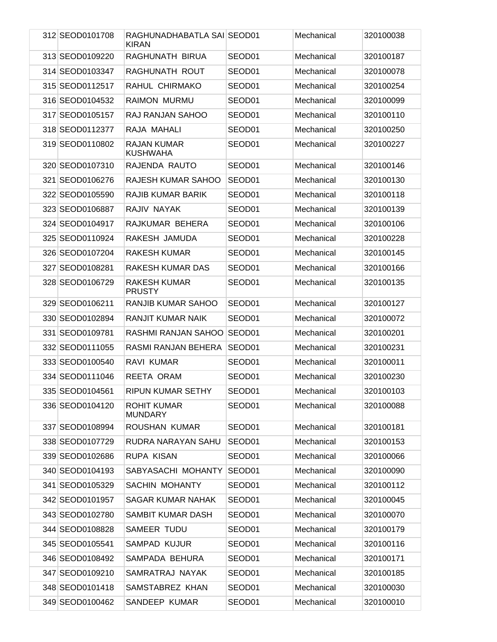| 312 SEOD0101708 | RAGHUNADHABATLA SAI SEOD01<br><b>KIRAN</b> |                    | Mechanical | 320100038 |
|-----------------|--------------------------------------------|--------------------|------------|-----------|
| 313 SEOD0109220 | RAGHUNATH BIRUA                            | SEOD01             | Mechanical | 320100187 |
| 314 SEOD0103347 | RAGHUNATH ROUT                             | SEOD01             | Mechanical | 320100078 |
| 315 SEOD0112517 | RAHUL CHIRMAKO                             | SEOD01             | Mechanical | 320100254 |
| 316 SEOD0104532 | <b>RAIMON MURMU</b>                        | SEOD01             | Mechanical | 320100099 |
| 317 SEOD0105157 | RAJ RANJAN SAHOO                           | SEOD01             | Mechanical | 320100110 |
| 318 SEOD0112377 | RAJA MAHALI                                | SEOD01             | Mechanical | 320100250 |
| 319 SEOD0110802 | <b>RAJAN KUMAR</b><br><b>KUSHWAHA</b>      | SEOD01             | Mechanical | 320100227 |
| 320 SEOD0107310 | RAJENDA RAUTO                              | SEOD01             | Mechanical | 320100146 |
| 321 SEOD0106276 | RAJESH KUMAR SAHOO                         | SEOD01             | Mechanical | 320100130 |
| 322 SEOD0105590 | RAJIB KUMAR BARIK                          | SEOD01             | Mechanical | 320100118 |
| 323 SEOD0106887 | RAJIV NAYAK                                | SEOD01             | Mechanical | 320100139 |
| 324 SEOD0104917 | RAJKUMAR BEHERA                            | SEOD01             | Mechanical | 320100106 |
| 325 SEOD0110924 | RAKESH JAMUDA                              | SEOD01             | Mechanical | 320100228 |
| 326 SEOD0107204 | <b>RAKESH KUMAR</b>                        | SEOD <sub>01</sub> | Mechanical | 320100145 |
| 327 SEOD0108281 | RAKESH KUMAR DAS                           | SEOD01             | Mechanical | 320100166 |
| 328 SEOD0106729 | RAKESH KUMAR<br><b>PRUSTY</b>              | SEOD01             | Mechanical | 320100135 |
| 329 SEOD0106211 | RANJIB KUMAR SAHOO                         | SEOD01             | Mechanical | 320100127 |
| 330 SEOD0102894 | <b>RANJIT KUMAR NAIK</b>                   | SEOD01             | Mechanical | 320100072 |
| 331 SEOD0109781 | RASHMI RANJAN SAHOO                        | SEOD01             | Mechanical | 320100201 |
| 332 SEOD0111055 | RASMI RANJAN BEHERA                        | SEOD01             | Mechanical | 320100231 |
| 333 SEOD0100540 | RAVI KUMAR                                 | SEOD01             | Mechanical | 320100011 |
| 334 SEOD0111046 | REETA ORAM                                 | SEOD01             | Mechanical | 320100230 |
| 335 SEOD0104561 | RIPUN KUMAR SETHY                          | SEOD01             | Mechanical | 320100103 |
| 336 SEOD0104120 | ROHIT KUMAR<br><b>MUNDARY</b>              | SEOD01             | Mechanical | 320100088 |
| 337 SEOD0108994 | ROUSHAN KUMAR                              | SEOD01             | Mechanical | 320100181 |
| 338 SEOD0107729 | RUDRA NARAYAN SAHU                         | SEOD01             | Mechanical | 320100153 |
| 339 SEOD0102686 | RUPA KISAN                                 | SEOD01             | Mechanical | 320100066 |
| 340 SEOD0104193 | SABYASACHI MOHANTY                         | SEOD01             | Mechanical | 320100090 |
| 341 SEOD0105329 | <b>SACHIN MOHANTY</b>                      | SEOD01             | Mechanical | 320100112 |
| 342 SEOD0101957 | SAGAR KUMAR NAHAK                          | SEOD01             | Mechanical | 320100045 |
| 343 SEOD0102780 | SAMBIT KUMAR DASH                          | SEOD01             | Mechanical | 320100070 |
| 344 SEOD0108828 | SAMEER TUDU                                | SEOD01             | Mechanical | 320100179 |
| 345 SEOD0105541 | <b>SAMPAD KUJUR</b>                        | SEOD01             | Mechanical | 320100116 |
| 346 SEOD0108492 | SAMPADA BEHURA                             | SEOD01             | Mechanical | 320100171 |
| 347 SEOD0109210 | SAMRATRAJ NAYAK                            | SEOD01             | Mechanical | 320100185 |
| 348 SEOD0101418 | SAMSTABREZ KHAN                            | SEOD01             | Mechanical | 320100030 |
| 349 SEOD0100462 | SANDEEP KUMAR                              | SEOD01             | Mechanical | 320100010 |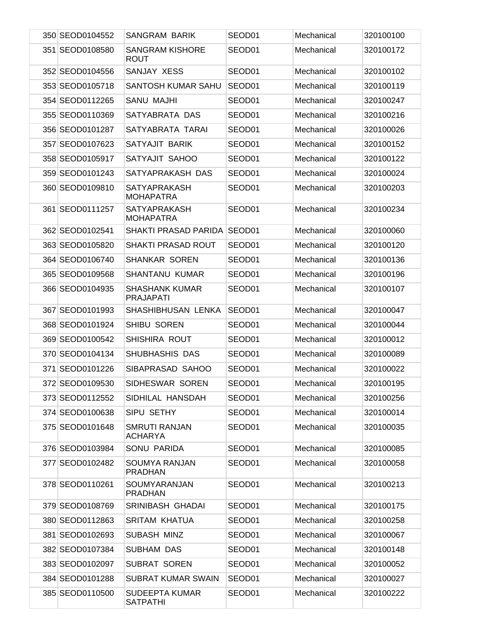| 350 SEOD0104552 | <b>SANGRAM BARIK</b>                      | SEOD01 | Mechanical | 320100100 |
|-----------------|-------------------------------------------|--------|------------|-----------|
| 351 SEOD0108580 | <b>SANGRAM KISHORE</b><br><b>ROUT</b>     | SEOD01 | Mechanical | 320100172 |
| 352 SEOD0104556 | SANJAY XESS                               | SEOD01 | Mechanical | 320100102 |
| 353 SEOD0105718 | SANTOSH KUMAR SAHU                        | SEOD01 | Mechanical | 320100119 |
| 354 SEOD0112265 | SANU MAJHI                                | SEOD01 | Mechanical | 320100247 |
| 355 SEOD0110369 | SATYABRATA DAS                            | SEOD01 | Mechanical | 320100216 |
| 356 SEOD0101287 | SATYABRATA TARAI                          | SEOD01 | Mechanical | 320100026 |
| 357 SEOD0107623 | SATYAJIT BARIK                            | SEOD01 | Mechanical | 320100152 |
| 358 SEOD0105917 | SATYAJIT SAHOO                            | SEOD01 | Mechanical | 320100122 |
| 359 SEOD0101243 | SATYAPRAKASH DAS                          | SEOD01 | Mechanical | 320100024 |
| 360 SEOD0109810 | <b>SATYAPRAKASH</b><br><b>MOHAPATRA</b>   | SEOD01 | Mechanical | 320100203 |
| 361 SEOD0111257 | <b>SATYAPRAKASH</b><br><b>MOHAPATRA</b>   | SEOD01 | Mechanical | 320100234 |
| 362 SEOD0102541 | SHAKTI PRASAD PARIDA SEOD01               |        | Mechanical | 320100060 |
| 363 SEOD0105820 | <b>SHAKTI PRASAD ROUT</b>                 | SEOD01 | Mechanical | 320100120 |
| 364 SEOD0106740 | <b>SHANKAR SOREN</b>                      | SEOD01 | Mechanical | 320100136 |
| 365 SEOD0109568 | SHANTANU KUMAR                            | SEOD01 | Mechanical | 320100196 |
| 366 SEOD0104935 | <b>SHASHANK KUMAR</b><br><b>PRAJAPATI</b> | SEOD01 | Mechanical | 320100107 |
| 367 SEOD0101993 | SHASHIBHUSAN LENKA                        | SEOD01 | Mechanical | 320100047 |
| 368 SEOD0101924 | SHIBU SOREN                               | SEOD01 | Mechanical | 320100044 |
| 369 SEOD0100542 | SHISHIRA ROUT                             | SEOD01 | Mechanical | 320100012 |
| 370 SEOD0104134 | SHUBHASHIS DAS                            | SEOD01 | Mechanical | 320100089 |
| 371 SEOD0101226 | SIBAPRASAD SAHOO                          | SEOD01 | Mechanical | 320100022 |
| 372 SEOD0109530 | SIDHESWAR SOREN                           | SEOD01 | Mechanical | 320100195 |
| 373 SEOD0112552 | SIDHILAL HANSDAH                          | SEOD01 | Mechanical | 320100256 |
| 374 SEOD0100638 | SIPU SETHY                                | SEOD01 | Mechanical | 320100014 |
| 375 SEOD0101648 | <b>SMRUTI RANJAN</b><br><b>ACHARYA</b>    | SEOD01 | Mechanical | 320100035 |
| 376 SEOD0103984 | SONU PARIDA                               | SEOD01 | Mechanical | 320100085 |
| 377 SEOD0102482 | <b>SOUMYA RANJAN</b><br><b>PRADHAN</b>    | SEOD01 | Mechanical | 320100058 |
| 378 SEOD0110261 | SOUMYARANJAN<br><b>PRADHAN</b>            | SEOD01 | Mechanical | 320100213 |
| 379 SEOD0108769 | SRINIBASH GHADAI                          | SEOD01 | Mechanical | 320100175 |
| 380 SEOD0112863 | <b>SRITAM KHATUA</b>                      | SEOD01 | Mechanical | 320100258 |
| 381 SEOD0102693 | SUBASH MINZ                               | SEOD01 | Mechanical | 320100067 |
| 382 SEOD0107384 | SUBHAM DAS                                | SEOD01 | Mechanical | 320100148 |
| 383 SEOD0102097 | <b>SUBRAT SOREN</b>                       | SEOD01 | Mechanical | 320100052 |
| 384 SEOD0101288 | <b>SUBRAT KUMAR SWAIN</b>                 | SEOD01 | Mechanical | 320100027 |
| 385 SEOD0110500 | <b>SUDEEPTA KUMAR</b><br><b>SATPATHI</b>  | SEOD01 | Mechanical | 320100222 |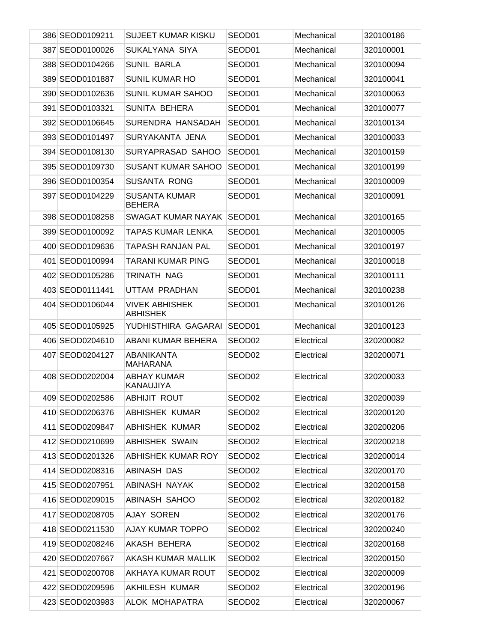| 386 SEOD0109211 | SUJEET KUMAR KISKU                       | SEOD01             | Mechanical | 320100186 |
|-----------------|------------------------------------------|--------------------|------------|-----------|
| 387 SEOD0100026 | SUKALYANA SIYA                           | SEOD01             | Mechanical | 320100001 |
| 388 SEOD0104266 | <b>SUNIL BARLA</b>                       | SEOD01             | Mechanical | 320100094 |
| 389 SEOD0101887 | <b>SUNIL KUMAR HO</b>                    | SEOD01             | Mechanical | 320100041 |
| 390 SEOD0102636 | <b>SUNIL KUMAR SAHOO</b>                 | SEOD01             | Mechanical | 320100063 |
| 391 SEOD0103321 | <b>SUNITA BEHERA</b>                     | SEOD01             | Mechanical | 320100077 |
| 392 SEOD0106645 | SURENDRA HANSADAH                        | SEOD01             | Mechanical | 320100134 |
| 393 SEOD0101497 | SURYAKANTA JENA                          | SEOD01             | Mechanical | 320100033 |
| 394 SEOD0108130 | SURYAPRASAD SAHOO                        | SEOD01             | Mechanical | 320100159 |
| 395 SEOD0109730 | <b>SUSANT KUMAR SAHOO</b>                | SEOD01             | Mechanical | 320100199 |
| 396 SEOD0100354 | <b>SUSANTA RONG</b>                      | SEOD01             | Mechanical | 320100009 |
| 397 SEOD0104229 | <b>SUSANTA KUMAR</b><br><b>BEHERA</b>    | SEOD01             | Mechanical | 320100091 |
| 398 SEOD0108258 | SWAGAT KUMAR NAYAK                       | SEOD01             | Mechanical | 320100165 |
| 399 SEOD0100092 | <b>TAPAS KUMAR LENKA</b>                 | SEOD01             | Mechanical | 320100005 |
| 400 SEOD0109636 | <b>TAPASH RANJAN PAL</b>                 | SEOD01             | Mechanical | 320100197 |
| 401 SEOD0100994 | <b>TARANI KUMAR PING</b>                 | SEOD01             | Mechanical | 320100018 |
| 402 SEOD0105286 | TRINATH NAG                              | SEOD01             | Mechanical | 320100111 |
| 403 SEOD0111441 | UTTAM PRADHAN                            | SEOD01             | Mechanical | 320100238 |
| 404 SEOD0106044 | <b>VIVEK ABHISHEK</b><br><b>ABHISHEK</b> | SEOD01             | Mechanical | 320100126 |
| 405 SEOD0105925 | YUDHISTHIRA GAGARAI                      | SEOD01             | Mechanical | 320100123 |
| 406 SEOD0204610 | ABANI KUMAR BEHERA                       | SEOD <sub>02</sub> | Electrical | 320200082 |
| 407 SEOD0204127 | ABANIKANTA<br><b>MAHARANA</b>            | SEOD <sub>02</sub> | Electrical | 320200071 |
| 408 SEOD0202004 | ABHAY KUMAR<br>KANAUJIYA                 | SEOD02             | Electrical | 320200033 |
| 409 SEOD0202586 | ABHIJIT ROUT                             | SEOD <sub>02</sub> | Electrical | 320200039 |
| 410 SEOD0206376 | <b>ABHISHEK KUMAR</b>                    | SEOD02             | Electrical | 320200120 |
| 411 SEOD0209847 | ABHISHEK KUMAR                           | SEOD02             | Electrical | 320200206 |
| 412 SEOD0210699 | <b>ABHISHEK SWAIN</b>                    | SEOD02             | Electrical | 320200218 |
| 413 SEOD0201326 | ABHISHEK KUMAR ROY                       | SEOD02             | Electrical | 320200014 |
| 414 SEOD0208316 | ABINASH DAS                              | SEOD02             | Electrical | 320200170 |
| 415 SEOD0207951 | ABINASH NAYAK                            | SEOD02             | Electrical | 320200158 |
| 416 SEOD0209015 | ABINASH SAHOO                            | SEOD02             | Electrical | 320200182 |
| 417 SEOD0208705 | <b>AJAY SOREN</b>                        | SEOD02             | Electrical | 320200176 |
| 418 SEOD0211530 | AJAY KUMAR TOPPO                         | SEOD02             | Electrical | 320200240 |
| 419 SEOD0208246 | AKASH BEHERA                             | SEOD02             | Electrical | 320200168 |
| 420 SEOD0207667 | AKASH KUMAR MALLIK                       | SEOD02             | Electrical | 320200150 |
| 421 SEOD0200708 | AKHAYA KUMAR ROUT                        | SEOD02             | Electrical | 320200009 |
| 422 SEOD0209596 | AKHILESH KUMAR                           | SEOD02             | Electrical | 320200196 |
| 423 SEOD0203983 | ALOK MOHAPATRA                           | SEOD02             | Electrical | 320200067 |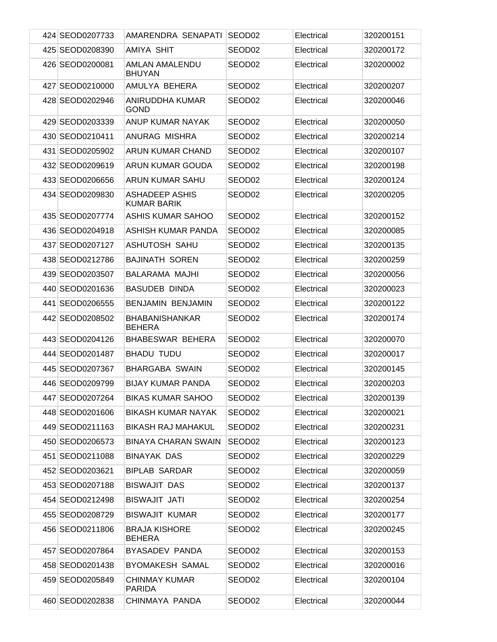| 424 SEOD0207733 | AMARENDRA SENAPATI                          | SEOD <sub>02</sub> | Electrical | 320200151 |
|-----------------|---------------------------------------------|--------------------|------------|-----------|
| 425 SEOD0208390 | AMIYA SHIT                                  | SEOD <sub>02</sub> | Electrical | 320200172 |
| 426 SEOD0200081 | <b>AMLAN AMALENDU</b><br><b>BHUYAN</b>      | SEOD <sub>02</sub> | Electrical | 320200002 |
| 427 SEOD0210000 | AMULYA BEHERA                               | SEOD02             | Electrical | 320200207 |
| 428 SEOD0202946 | ANIRUDDHA KUMAR<br><b>GOND</b>              | SEOD02             | Electrical | 320200046 |
| 429 SEOD0203339 | ANUP KUMAR NAYAK                            | SEOD <sub>02</sub> | Electrical | 320200050 |
| 430 SEOD0210411 | ANURAG MISHRA                               | SEOD <sub>02</sub> | Electrical | 320200214 |
| 431 SEOD0205902 | ARUN KUMAR CHAND                            | SEOD <sub>02</sub> | Electrical | 320200107 |
| 432 SEOD0209619 | ARUN KUMAR GOUDA                            | SEOD <sub>02</sub> | Electrical | 320200198 |
| 433 SEOD0206656 | ARUN KUMAR SAHU                             | SEOD <sub>02</sub> | Electrical | 320200124 |
| 434 SEOD0209830 | <b>ASHADEEP ASHIS</b><br><b>KUMAR BARIK</b> | SEOD02             | Electrical | 320200205 |
| 435 SEOD0207774 | <b>ASHIS KUMAR SAHOO</b>                    | SEOD <sub>02</sub> | Electrical | 320200152 |
| 436 SEOD0204918 | ASHISH KUMAR PANDA                          | SEOD <sub>02</sub> | Electrical | 320200085 |
| 437 SEOD0207127 | ASHUTOSH SAHU                               | SEOD <sub>02</sub> | Electrical | 320200135 |
| 438 SEOD0212786 | <b>BAJINATH SOREN</b>                       | SEOD02             | Electrical | 320200259 |
| 439 SEOD0203507 | BALARAMA MAJHI                              | SEOD02             | Electrical | 320200056 |
| 440 SEOD0201636 | <b>BASUDEB DINDA</b>                        | SEOD02             | Electrical | 320200023 |
| 441 SEOD0206555 | <b>BENJAMIN BENJAMIN</b>                    | SEOD <sub>02</sub> | Electrical | 320200122 |
| 442 SEOD0208502 | <b>BHABANISHANKAR</b><br><b>BEHERA</b>      | SEOD02             | Electrical | 320200174 |
| 443 SEOD0204126 | BHABESWAR BEHERA                            | SEOD <sub>02</sub> | Electrical | 320200070 |
| 444 SEOD0201487 | <b>BHADU TUDU</b>                           | SEOD02             | Electrical | 320200017 |
| 445 SEOD0207367 | <b>BHARGABA SWAIN</b>                       | SEOD02             | Electrical | 320200145 |
| 446 SEOD0209799 | <b>BIJAY KUMAR PANDA</b>                    | SEOD02             | Electrical | 320200203 |
| 447 SEOD0207264 | <b>BIKAS KUMAR SAHOO</b>                    | SEOD02             | Electrical | 320200139 |
| 448 SEOD0201606 | <b>BIKASH KUMAR NAYAK</b>                   | SEOD02             | Electrical | 320200021 |
| 449 SEOD0211163 | <b>BIKASH RAJ MAHAKUL</b>                   | SEOD02             | Electrical | 320200231 |
| 450 SEOD0206573 | <b>BINAYA CHARAN SWAIN</b>                  | SEOD02             | Electrical | 320200123 |
| 451 SEOD0211088 | <b>BINAYAK DAS</b>                          | SEOD02             | Electrical | 320200229 |
| 452 SEOD0203621 | <b>BIPLAB SARDAR</b>                        | SEOD02             | Electrical | 320200059 |
| 453 SEOD0207188 | <b>BISWAJIT DAS</b>                         | SEOD02             | Electrical | 320200137 |
| 454 SEOD0212498 | <b>BISWAJIT JATI</b>                        | SEOD02             | Electrical | 320200254 |
| 455 SEOD0208729 | <b>BISWAJIT KUMAR</b>                       | SEOD02             | Electrical | 320200177 |
| 456 SEOD0211806 | <b>BRAJA KISHORE</b><br><b>BEHERA</b>       | SEOD02             | Electrical | 320200245 |
| 457 SEOD0207864 | BYASADEV PANDA                              | SEOD02             | Electrical | 320200153 |
| 458 SEOD0201438 | <b>BYOMAKESH SAMAL</b>                      | SEOD02             | Electrical | 320200016 |
| 459 SEOD0205849 | <b>CHINMAY KUMAR</b><br><b>PARIDA</b>       | SEOD02             | Electrical | 320200104 |
| 460 SEOD0202838 | CHINMAYA PANDA                              | SEOD02             | Electrical | 320200044 |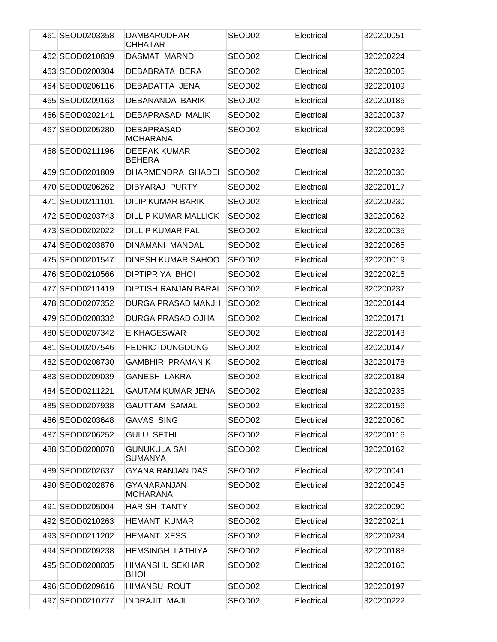|     | 461 SEOD0203358 | <b>DAMBARUDHAR</b><br><b>CHHATAR</b>  | SEOD02             | Electrical | 320200051 |
|-----|-----------------|---------------------------------------|--------------------|------------|-----------|
|     | 462 SEOD0210839 | DASMAT MARNDI                         | SEOD <sub>02</sub> | Electrical | 320200224 |
|     | 463 SEOD0200304 | DEBABRATA BERA                        | SEOD02             | Electrical | 320200005 |
|     | 464 SEOD0206116 | DEBADATTA JENA                        | SEOD <sub>02</sub> | Electrical | 320200109 |
|     | 465 SEOD0209163 | DEBANANDA BARIK                       | SEOD02             | Electrical | 320200186 |
|     | 466 SEOD0202141 | <b>DEBAPRASAD MALIK</b>               | SEOD <sub>02</sub> | Electrical | 320200037 |
|     | 467 SEOD0205280 | <b>DEBAPRASAD</b><br><b>MOHARANA</b>  | SEOD02             | Electrical | 320200096 |
|     | 468 SEOD0211196 | <b>DEEPAK KUMAR</b><br><b>BEHERA</b>  | SEOD02             | Electrical | 320200232 |
|     | 469 SEOD0201809 | DHARMENDRA GHADEI                     | SEOD <sub>02</sub> | Electrical | 320200030 |
|     | 470 SEOD0206262 | <b>DIBYARAJ PURTY</b>                 | SEOD02             | Electrical | 320200117 |
| 471 | SEOD0211101     | <b>DILIP KUMAR BARIK</b>              | SEOD <sub>02</sub> | Electrical | 320200230 |
|     | 472 SEOD0203743 | <b>DILLIP KUMAR MALLICK</b>           | SEOD02             | Electrical | 320200062 |
|     | 473 SEOD0202022 | <b>DILLIP KUMAR PAL</b>               | SEOD <sub>02</sub> | Electrical | 320200035 |
|     | 474 SEOD0203870 | <b>DINAMANI MANDAL</b>                | SEOD02             | Electrical | 320200065 |
|     | 475 SEOD0201547 | <b>DINESH KUMAR SAHOO</b>             | SEOD <sub>02</sub> | Electrical | 320200019 |
|     | 476 SEOD0210566 | DIPTIPRIYA BHOI                       | SEOD02             | Electrical | 320200216 |
|     | 477 SEOD0211419 | DIPTISH RANJAN BARAL                  | SEOD <sub>02</sub> | Electrical | 320200237 |
|     | 478 SEOD0207352 | DURGA PRASAD MANJHI                   | SEOD <sub>02</sub> | Electrical | 320200144 |
|     | 479 SEOD0208332 | DURGA PRASAD OJHA                     | SEOD02             | Electrical | 320200171 |
|     | 480 SEOD0207342 | E KHAGESWAR                           | SEOD <sub>02</sub> | Electrical | 320200143 |
| 481 | SEOD0207546     | <b>FEDRIC DUNGDUNG</b>                | SEOD <sub>02</sub> | Electrical | 320200147 |
|     | 482 SEOD0208730 | <b>GAMBHIR PRAMANIK</b>               | SEOD02             | Electrical | 320200178 |
|     | 483 SEOD0209039 | <b>GANESH LAKRA</b>                   | SEOD <sub>02</sub> | Electrical | 320200184 |
|     | 484 SEOD0211221 | <b>GAUTAM KUMAR JENA</b>              | SEOD02             | Electrical | 320200235 |
|     | 485 SEOD0207938 | <b>GAUTTAM SAMAL</b>                  | SEOD02             | Electrical | 320200156 |
|     | 486 SEOD0203648 | <b>GAVAS SING</b>                     | SEOD02             | Electrical | 320200060 |
|     | 487 SEOD0206252 | <b>GULU SETHI</b>                     | SEOD02             | Electrical | 320200116 |
|     | 488 SEOD0208078 | <b>GUNUKULA SAI</b><br><b>SUMANYA</b> | SEOD <sub>02</sub> | Electrical | 320200162 |
|     | 489 SEOD0202637 | <b>GYANA RANJAN DAS</b>               | SEOD02             | Electrical | 320200041 |
|     | 490 SEOD0202876 | <b>GYANARANJAN</b><br><b>MOHARANA</b> | SEOD02             | Electrical | 320200045 |
|     | 491 SEOD0205004 | <b>HARISH TANTY</b>                   | SEOD02             | Electrical | 320200090 |
|     | 492 SEOD0210263 | <b>HEMANT KUMAR</b>                   | SEOD <sub>02</sub> | Electrical | 320200211 |
|     | 493 SEOD0211202 | <b>HEMANT XESS</b>                    | SEOD02             | Electrical | 320200234 |
|     | 494 SEOD0209238 | <b>HEMSINGH LATHIYA</b>               | SEOD <sub>02</sub> | Electrical | 320200188 |
|     | 495 SEOD0208035 | HIMANSHU SEKHAR<br><b>BHOI</b>        | SEOD02             | Electrical | 320200160 |
|     | 496 SEOD0209616 | <b>HIMANSU ROUT</b>                   | SEOD02             | Electrical | 320200197 |
|     | 497 SEOD0210777 | <b>INDRAJIT MAJI</b>                  | SEOD02             | Electrical | 320200222 |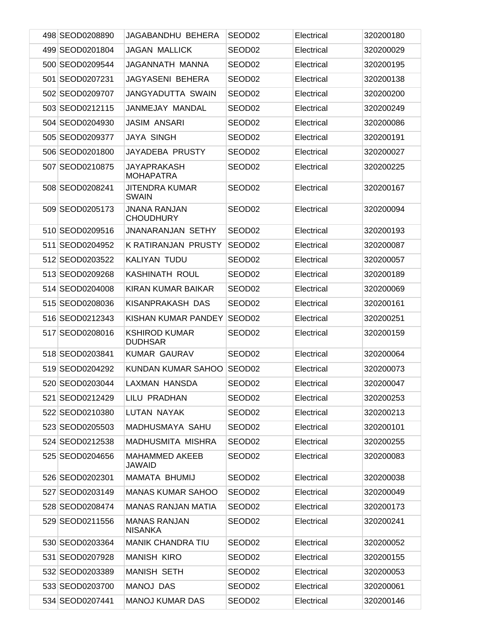| 498 SEOD0208890 | JAGABANDHU BEHERA                       | SEOD <sub>02</sub> | Electrical | 320200180 |
|-----------------|-----------------------------------------|--------------------|------------|-----------|
| 499 SEOD0201804 | <b>JAGAN MALLICK</b>                    | SEOD <sub>02</sub> | Electrical | 320200029 |
| 500 SEOD0209544 | JAGANNATH MANNA                         | SEOD <sub>02</sub> | Electrical | 320200195 |
| 501 SEOD0207231 | <b>JAGYASENI BEHERA</b>                 | SEOD <sub>02</sub> | Electrical | 320200138 |
| 502 SEOD0209707 | <b>JANGYADUTTA SWAIN</b>                | SEOD <sub>02</sub> | Electrical | 320200200 |
| 503 SEOD0212115 | JANMEJAY MANDAL                         | SEOD <sub>02</sub> | Electrical | 320200249 |
| 504 SEOD0204930 | <b>JASIM ANSARI</b>                     | SEOD02             | Electrical | 320200086 |
| 505 SEOD0209377 | <b>JAYA SINGH</b>                       | SEOD02             | Electrical | 320200191 |
| 506 SEOD0201800 | JAYADEBA PRUSTY                         | SEOD <sub>02</sub> | Electrical | 320200027 |
| 507 SEOD0210875 | <b>JAYAPRAKASH</b><br><b>MOHAPATRA</b>  | SEOD02             | Electrical | 320200225 |
| 508 SEOD0208241 | <b>JITENDRA KUMAR</b><br><b>SWAIN</b>   | SEOD <sub>02</sub> | Electrical | 320200167 |
| 509 SEOD0205173 | <b>JNANA RANJAN</b><br><b>CHOUDHURY</b> | SEOD02             | Electrical | 320200094 |
| 510 SEOD0209516 | <b>JNANARANJAN SETHY</b>                | SEOD <sub>02</sub> | Electrical | 320200193 |
| 511 SEOD0204952 | <b>K RATIRANJAN PRUSTY</b>              | SEOD <sub>02</sub> | Electrical | 320200087 |
| 512 SEOD0203522 | KALIYAN TUDU                            | SEOD02             | Electrical | 320200057 |
| 513 SEOD0209268 | <b>KASHINATH ROUL</b>                   | SEOD02             | Electrical | 320200189 |
| 514 SEOD0204008 | KIRAN KUMAR BAIKAR                      | SEOD <sub>02</sub> | Electrical | 320200069 |
| 515 SEOD0208036 | KISANPRAKASH DAS                        | SEOD02             | Electrical | 320200161 |
| 516 SEOD0212343 | KISHAN KUMAR PANDEY                     | SEOD <sub>02</sub> | Electrical | 320200251 |
| 517 SEOD0208016 | <b>KSHIROD KUMAR</b><br><b>DUDHSAR</b>  | SEOD02             | Electrical | 320200159 |
| 518 SEOD0203841 | <b>KUMAR GAURAV</b>                     | SEOD <sub>02</sub> | Electrical | 320200064 |
| 519 SEOD0204292 | KUNDAN KUMAR SAHOO                      | SEOD <sub>02</sub> | Electrical | 320200073 |
| 520 SEOD0203044 | LAXMAN HANSDA                           | SEOD <sub>02</sub> | Electrical | 320200047 |
| 521 SEOD0212429 | LILU PRADHAN                            | SEOD02             | Electrical | 320200253 |
| 522 SEOD0210380 | LUTAN NAYAK                             | SEOD02             | Electrical | 320200213 |
| 523 SEOD0205503 | MADHUSMAYA SAHU                         | SEOD <sub>02</sub> | Electrical | 320200101 |
| 524 SEOD0212538 | <b>MADHUSMITA MISHRA</b>                | SEOD02             | Electrical | 320200255 |
| 525 SEOD0204656 | <b>MAHAMMED AKEEB</b><br><b>JAWAID</b>  | SEOD02             | Electrical | 320200083 |
| 526 SEOD0202301 | MAMATA BHUMIJ                           | SEOD02             | Electrical | 320200038 |
| 527 SEOD0203149 | <b>MANAS KUMAR SAHOO</b>                | SEOD <sub>02</sub> | Electrical | 320200049 |
| 528 SEOD0208474 | <b>MANAS RANJAN MATIA</b>               | SEOD02             | Electrical | 320200173 |
| 529 SEOD0211556 | <b>MANAS RANJAN</b><br><b>NISANKA</b>   | SEOD02             | Electrical | 320200241 |
| 530 SEOD0203364 | <b>MANIK CHANDRA TIU</b>                | SEOD02             | Electrical | 320200052 |
| 531 SEOD0207928 | <b>MANISH KIRO</b>                      | SEOD <sub>02</sub> | Electrical | 320200155 |
| 532 SEOD0203389 | <b>MANISH SETH</b>                      | SEOD02             | Electrical | 320200053 |
| 533 SEOD0203700 | <b>MANOJ DAS</b>                        | SEOD02             | Electrical | 320200061 |
| 534 SEOD0207441 | <b>MANOJ KUMAR DAS</b>                  | SEOD02             | Electrical | 320200146 |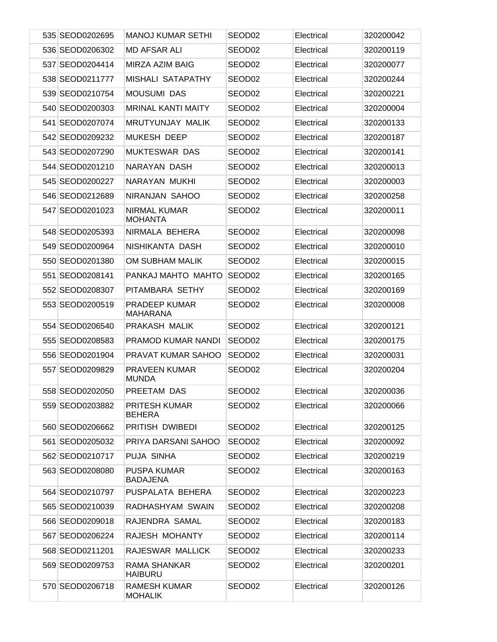| 535 SEOD0202695 | <b>MANOJ KUMAR SETHI</b>                | SEOD <sub>02</sub> | Electrical | 320200042 |
|-----------------|-----------------------------------------|--------------------|------------|-----------|
| 536 SEOD0206302 | <b>MD AFSAR ALI</b>                     | SEOD <sub>02</sub> | Electrical | 320200119 |
| 537 SEOD0204414 | MIRZA AZIM BAIG                         | SEOD <sub>02</sub> | Electrical | 320200077 |
| 538 SEOD0211777 | MISHALI SATAPATHY                       | SEOD <sub>02</sub> | Electrical | 320200244 |
| 539 SEOD0210754 | <b>MOUSUMI DAS</b>                      | SEOD <sub>02</sub> | Electrical | 320200221 |
| 540 SEOD0200303 | <b>MRINAL KANTI MAITY</b>               | SEOD <sub>02</sub> | Electrical | 320200004 |
| 541 SEOD0207074 | MRUTYUNJAY MALIK                        | SEOD <sub>02</sub> | Electrical | 320200133 |
| 542 SEOD0209232 | <b>MUKESH DEEP</b>                      | SEOD <sub>02</sub> | Electrical | 320200187 |
| 543 SEOD0207290 | <b>MUKTESWAR DAS</b>                    | SEOD <sub>02</sub> | Electrical | 320200141 |
| 544 SEOD0201210 | NARAYAN DASH                            | SEOD <sub>02</sub> | Electrical | 320200013 |
| 545 SEOD0200227 | NARAYAN MUKHI                           | SEOD <sub>02</sub> | Electrical | 320200003 |
| 546 SEOD0212689 | NIRANJAN SAHOO                          | SEOD <sub>02</sub> | Electrical | 320200258 |
| 547 SEOD0201023 | <b>NIRMAL KUMAR</b><br><b>MOHANTA</b>   | SEOD <sub>02</sub> | Electrical | 320200011 |
| 548 SEOD0205393 | NIRMALA BEHERA                          | SEOD02             | Electrical | 320200098 |
| 549 SEOD0200964 | NISHIKANTA DASH                         | SEOD <sub>02</sub> | Electrical | 320200010 |
| 550 SEOD0201380 | OM SUBHAM MALIK                         | SEOD02             | Electrical | 320200015 |
| 551 SEOD0208141 | PANKAJ MAHTO MAHTO                      | SEOD02             | Electrical | 320200165 |
| 552 SEOD0208307 | PITAMBARA SETHY                         | SEOD02             | Electrical | 320200169 |
| 553 SEOD0200519 | <b>PRADEEP KUMAR</b><br><b>MAHARANA</b> | SEOD02             | Electrical | 320200008 |
| 554 SEOD0206540 | PRAKASH MALIK                           | SEOD <sub>02</sub> | Electrical | 320200121 |
| 555 SEOD0208583 | PRAMOD KUMAR NANDI                      | SEOD <sub>02</sub> | Electrical | 320200175 |
| 556 SEOD0201904 | <b>PRAVAT KUMAR SAHOO</b>               | SEOD <sub>02</sub> | Electrical | 320200031 |
| 557 SEOD0209829 | <b>PRAVEEN KUMAR</b><br><b>MUNDA</b>    | SEOD <sub>02</sub> | Electrical | 320200204 |
| 558 SEOD0202050 | PREETAM DAS                             | SEOD <sub>02</sub> | Electrical | 320200036 |
| 559 SEOD0203882 | <b>PRITESH KUMAR</b><br><b>BEHERA</b>   | SEOD <sub>02</sub> | Electrical | 320200066 |
| 560 SEOD0206662 | PRITISH DWIBEDI                         | SEOD02             | Electrical | 320200125 |
| 561 SEOD0205032 | PRIYA DARSANI SAHOO                     | SEOD02             | Electrical | 320200092 |
| 562 SEOD0210717 | PUJA SINHA                              | SEOD <sub>02</sub> | Electrical | 320200219 |
| 563 SEOD0208080 | <b>PUSPA KUMAR</b><br><b>BADAJENA</b>   | SEOD <sub>02</sub> | Electrical | 320200163 |
| 564 SEOD0210797 | PUSPALATA BEHERA                        | SEOD <sub>02</sub> | Electrical | 320200223 |
| 565 SEOD0210039 | RADHASHYAM SWAIN                        | SEOD <sub>02</sub> | Electrical | 320200208 |
| 566 SEOD0209018 | RAJENDRA SAMAL                          | SEOD02             | Electrical | 320200183 |
| 567 SEOD0206224 | RAJESH MOHANTY                          | SEOD <sub>02</sub> | Electrical | 320200114 |
| 568 SEOD0211201 | RAJESWAR MALLICK                        | SEOD <sub>02</sub> | Electrical | 320200233 |
| 569 SEOD0209753 | RAMA SHANKAR<br><b>HAIBURU</b>          | SEOD02             | Electrical | 320200201 |
| 570 SEOD0206718 | RAMESH KUMAR<br><b>MOHALIK</b>          | SEOD02             | Electrical | 320200126 |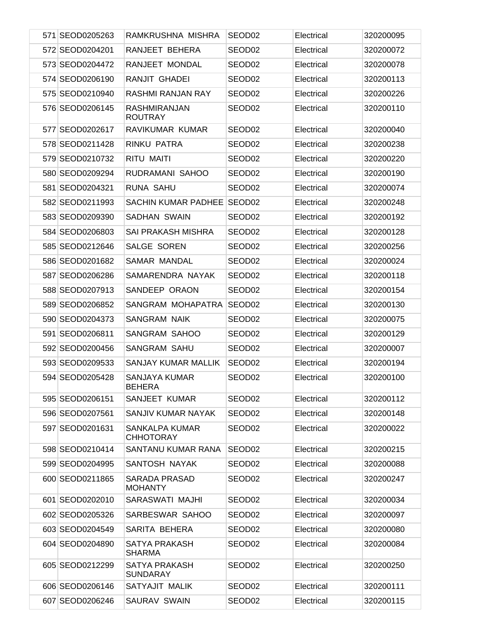| 571 SEOD0205263 | RAMKRUSHNA MISHRA                         | SEOD <sub>02</sub> | Electrical | 320200095 |
|-----------------|-------------------------------------------|--------------------|------------|-----------|
| 572 SEOD0204201 | RANJEET BEHERA                            | SEOD <sub>02</sub> | Electrical | 320200072 |
| 573 SEOD0204472 | RANJEET MONDAL                            | SEOD <sub>02</sub> | Electrical | 320200078 |
| 574 SEOD0206190 | RANJIT GHADEI                             | SEOD <sub>02</sub> | Electrical | 320200113 |
| 575 SEOD0210940 | RASHMI RANJAN RAY                         | SEOD <sub>02</sub> | Electrical | 320200226 |
| 576 SEOD0206145 | <b>RASHMIRANJAN</b><br><b>ROUTRAY</b>     | SEOD02             | Electrical | 320200110 |
| 577 SEOD0202617 | RAVIKUMAR KUMAR                           | SEOD <sub>02</sub> | Electrical | 320200040 |
| 578 SEOD0211428 | RINKU PATRA                               | SEOD02             | Electrical | 320200238 |
| 579 SEOD0210732 | <b>RITU MAITI</b>                         | SEOD02             | Electrical | 320200220 |
| 580 SEOD0209294 | RUDRAMANI SAHOO                           | SEOD02             | Electrical | 320200190 |
| 581 SEOD0204321 | <b>RUNA SAHU</b>                          | SEOD02             | Electrical | 320200074 |
| 582 SEOD0211993 | SACHIN KUMAR PADHEE                       | SEOD <sub>02</sub> | Electrical | 320200248 |
| 583 SEOD0209390 | SADHAN SWAIN                              | SEOD02             | Electrical | 320200192 |
| 584 SEOD0206803 | SAI PRAKASH MISHRA                        | SEOD02             | Electrical | 320200128 |
| 585 SEOD0212646 | SALGE SOREN                               | SEOD02             | Electrical | 320200256 |
| 586 SEOD0201682 | SAMAR MANDAL                              | SEOD02             | Electrical | 320200024 |
| 587 SEOD0206286 | SAMARENDRA NAYAK                          | SEOD02             | Electrical | 320200118 |
| 588 SEOD0207913 | SANDEEP ORAON                             | SEOD02             | Electrical | 320200154 |
| 589 SEOD0206852 | SANGRAM MOHAPATRA                         | SEOD <sub>02</sub> | Electrical | 320200130 |
| 590 SEOD0204373 | <b>SANGRAM NAIK</b>                       | SEOD02             | Electrical | 320200075 |
| 591 SEOD0206811 | SANGRAM SAHOO                             | SEOD02             | Electrical | 320200129 |
| 592 SEOD0200456 | <b>SANGRAM SAHU</b>                       | SEOD02             | Electrical | 320200007 |
| 593 SEOD0209533 | <b>SANJAY KUMAR MALLIK</b>                | SEOD02             | Electrical | 320200194 |
| 594 SEOD0205428 | SANJAYA KUMAR<br><b>BEHERA</b>            | SEOD02             | Electrical | 320200100 |
| 595 SEOD0206151 | SANJEET KUMAR                             | SEOD02             | Electrical | 320200112 |
| 596 SEOD0207561 | SANJIV KUMAR NAYAK                        | SEOD <sub>02</sub> | Electrical | 320200148 |
| 597 SEOD0201631 | <b>SANKALPA KUMAR</b><br><b>CHHOTORAY</b> | SEOD02             | Electrical | 320200022 |
| 598 SEOD0210414 | SANTANU KUMAR RANA                        | SEOD <sub>02</sub> | Electrical | 320200215 |
| 599 SEOD0204995 | SANTOSH NAYAK                             | SEOD02             | Electrical | 320200088 |
| 600 SEOD0211865 | SARADA PRASAD<br><b>MOHANTY</b>           | SEOD02             | Electrical | 320200247 |
| 601 SEOD0202010 | SARASWATI MAJHI                           | SEOD02             | Electrical | 320200034 |
| 602 SEOD0205326 | SARBESWAR SAHOO                           | SEOD02             | Electrical | 320200097 |
| 603 SEOD0204549 | SARITA BEHERA                             | SEOD02             | Electrical | 320200080 |
| 604 SEOD0204890 | SATYA PRAKASH<br><b>SHARMA</b>            | SEOD <sub>02</sub> | Electrical | 320200084 |
| 605 SEOD0212299 | SATYA PRAKASH<br><b>SUNDARAY</b>          | SEOD02             | Electrical | 320200250 |
| 606 SEOD0206146 | SATYAJIT MALIK                            | SEOD02             | Electrical | 320200111 |
| 607 SEOD0206246 | SAURAV SWAIN                              | SEOD02             | Electrical | 320200115 |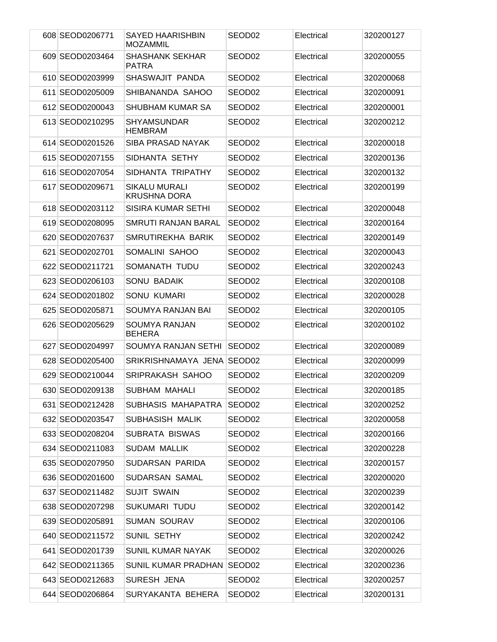| 608 SEOD0206771 | SAYED HAARISHBIN<br>MOZAMMIL                | SEOD <sub>02</sub> | Electrical | 320200127 |
|-----------------|---------------------------------------------|--------------------|------------|-----------|
| 609 SEOD0203464 | <b>SHASHANK SEKHAR</b><br><b>PATRA</b>      | SEOD <sub>02</sub> | Electrical | 320200055 |
| 610 SEOD0203999 | SHASWAJIT PANDA                             | SEOD <sub>02</sub> | Electrical | 320200068 |
| 611 SEOD0205009 | SHIBANANDA SAHOO                            | SEOD02             | Electrical | 320200091 |
| 612 SEOD0200043 | SHUBHAM KUMAR SA                            | SEOD <sub>02</sub> | Electrical | 320200001 |
| 613 SEOD0210295 | <b>SHYAMSUNDAR</b><br><b>HEMBRAM</b>        | SEOD02             | Electrical | 320200212 |
| 614 SEOD0201526 | <b>SIBA PRASAD NAYAK</b>                    | SEOD <sub>02</sub> | Electrical | 320200018 |
| 615 SEOD0207155 | SIDHANTA SETHY                              | SEOD <sub>02</sub> | Electrical | 320200136 |
| 616 SEOD0207054 | SIDHANTA TRIPATHY                           | SEOD02             | Electrical | 320200132 |
| 617 SEOD0209671 | <b>SIKALU MURALI</b><br><b>KRUSHNA DORA</b> | SEOD <sub>02</sub> | Electrical | 320200199 |
| 618 SEOD0203112 | SISIRA KUMAR SETHI                          | SEOD <sub>02</sub> | Electrical | 320200048 |
| 619 SEOD0208095 | <b>SMRUTI RANJAN BARAL</b>                  | SEOD <sub>02</sub> | Electrical | 320200164 |
| 620 SEOD0207637 | SMRUTIREKHA BARIK                           | SEOD <sub>02</sub> | Electrical | 320200149 |
| 621 SEOD0202701 | SOMALINI SAHOO                              | SEOD <sub>02</sub> | Electrical | 320200043 |
| 622 SEOD0211721 | SOMANATH TUDU                               | SEOD02             | Electrical | 320200243 |
| 623 SEOD0206103 | <b>SONU BADAIK</b>                          | SEOD <sub>02</sub> | Electrical | 320200108 |
| 624 SEOD0201802 | <b>SONU KUMARI</b>                          | SEOD02             | Electrical | 320200028 |
| 625 SEOD0205871 | SOUMYA RANJAN BAI                           | SEOD <sub>02</sub> | Electrical | 320200105 |
| 626 SEOD0205629 | <b>SOUMYA RANJAN</b><br><b>BEHERA</b>       | SEOD02             | Electrical | 320200102 |
| 627 SEOD0204997 | SOUMYA RANJAN SETHI                         | SEOD02             | Electrical | 320200089 |
| 628 SEOD0205400 | SRIKRISHNAMAYA JENA SEOD02                  |                    | Electrical | 320200099 |
| 629 SEOD0210044 | SRIPRAKASH SAHOO                            | SEOD02             | Electrical | 320200209 |
| 630 SEOD0209138 | SUBHAM MAHALI                               | SEOD02             | Electrical | 320200185 |
| 631 SEOD0212428 | SUBHASIS MAHAPATRA SEOD02                   |                    | Electrical | 320200252 |
| 632 SEOD0203547 | SUBHASISH MALIK                             | SEOD <sub>02</sub> | Electrical | 320200058 |
| 633 SEOD0208204 | <b>SUBRATA BISWAS</b>                       | SEOD02             | Electrical | 320200166 |
| 634 SEOD0211083 | <b>SUDAM MALLIK</b>                         | SEOD <sub>02</sub> | Electrical | 320200228 |
| 635 SEOD0207950 | SUDARSAN PARIDA                             | SEOD02             | Electrical | 320200157 |
| 636 SEOD0201600 | SUDARSAN SAMAL                              | SEOD <sub>02</sub> | Electrical | 320200020 |
| 637 SEOD0211482 | <b>SUJIT SWAIN</b>                          | SEOD02             | Electrical | 320200239 |
| 638 SEOD0207298 | SUKUMARI TUDU                               | SEOD <sub>02</sub> | Electrical | 320200142 |
| 639 SEOD0205891 | <b>SUMAN SOURAV</b>                         | SEOD02             | Electrical | 320200106 |
| 640 SEOD0211572 | SUNIL SETHY                                 | SEOD <sub>02</sub> | Electrical | 320200242 |
| 641 SEOD0201739 | <b>SUNIL KUMAR NAYAK</b>                    | SEOD02             | Electrical | 320200026 |
| 642 SEOD0211365 | SUNIL KUMAR PRADHAN SEOD02                  |                    | Electrical | 320200236 |
| 643 SEOD0212683 | SURESH JENA                                 | SEOD02             | Electrical | 320200257 |
| 644 SEOD0206864 | SURYAKANTA BEHERA                           | SEOD02             | Electrical | 320200131 |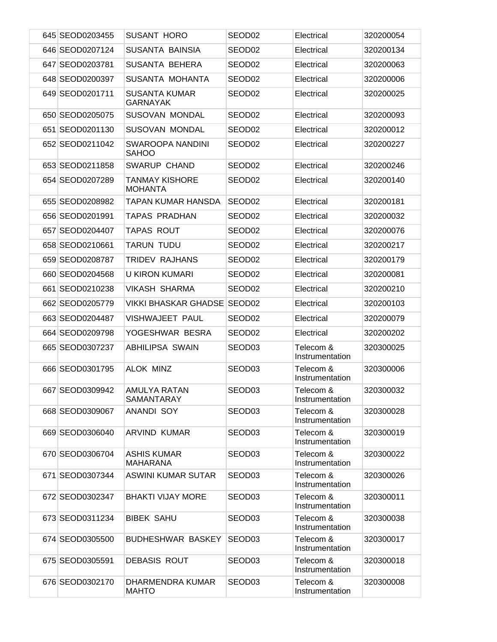| 645 SEOD0203455 | <b>SUSANT HORO</b>                      | SEOD <sub>02</sub> | Electrical                   | 320200054 |
|-----------------|-----------------------------------------|--------------------|------------------------------|-----------|
| 646 SEOD0207124 | SUSANTA BAINSIA                         | SEOD <sub>02</sub> | Electrical                   | 320200134 |
| 647 SEOD0203781 | SUSANTA BEHERA                          | SEOD <sub>02</sub> | Electrical                   | 320200063 |
| 648 SEOD0200397 | SUSANTA MOHANTA                         | SEOD <sub>02</sub> | Electrical                   | 320200006 |
| 649 SEOD0201711 | <b>SUSANTA KUMAR</b><br><b>GARNAYAK</b> | SEOD <sub>02</sub> | Electrical                   | 320200025 |
| 650 SEOD0205075 | SUSOVAN MONDAL                          | SEOD <sub>02</sub> | Electrical                   | 320200093 |
| 651 SEOD0201130 | <b>SUSOVAN MONDAL</b>                   | SEOD <sub>02</sub> | Electrical                   | 320200012 |
| 652 SEOD0211042 | <b>SWAROOPA NANDINI</b><br><b>SAHOO</b> | SEOD02             | Electrical                   | 320200227 |
| 653 SEOD0211858 | <b>SWARUP CHAND</b>                     | SEOD <sub>02</sub> | Electrical                   | 320200246 |
| 654 SEOD0207289 | <b>TANMAY KISHORE</b><br><b>MOHANTA</b> | SEOD02             | Electrical                   | 320200140 |
| 655 SEOD0208982 | TAPAN KUMAR HANSDA                      | SEOD <sub>02</sub> | Electrical                   | 320200181 |
| 656 SEOD0201991 | TAPAS PRADHAN                           | SEOD <sub>02</sub> | Electrical                   | 320200032 |
| 657 SEOD0204407 | <b>TAPAS ROUT</b>                       | SEOD <sub>02</sub> | Electrical                   | 320200076 |
| 658 SEOD0210661 | <b>TARUN TUDU</b>                       | SEOD <sub>02</sub> | Electrical                   | 320200217 |
| 659 SEOD0208787 | <b>TRIDEV RAJHANS</b>                   | SEOD <sub>02</sub> | Electrical                   | 320200179 |
| 660 SEOD0204568 | U KIRON KUMARI                          | SEOD <sub>02</sub> | Electrical                   | 320200081 |
| 661 SEOD0210238 | <b>VIKASH SHARMA</b>                    | SEOD <sub>02</sub> | Electrical                   | 320200210 |
| 662 SEOD0205779 | <b>VIKKI BHASKAR GHADSE</b>             | SEOD <sub>02</sub> | Electrical                   | 320200103 |
| 663 SEOD0204487 | VISHWAJEET PAUL                         | SEOD <sub>02</sub> | Electrical                   | 320200079 |
| 664 SEOD0209798 | YOGESHWAR BESRA                         | SEOD <sub>02</sub> | Electrical                   | 320200202 |
| 665 SEOD0307237 | <b>ABHILIPSA SWAIN</b>                  | SEOD <sub>03</sub> | Telecom &<br>Instrumentation | 320300025 |
| 666 SEOD0301795 | <b>ALOK MINZ</b>                        | SEOD <sub>03</sub> | Telecom &<br>Instrumentation | 320300006 |
| 667 SEOD0309942 | AMULYA RATAN<br><b>SAMANTARAY</b>       | SEOD03             | Telecom &<br>Instrumentation | 320300032 |
| 668 SEOD0309067 | <b>ANANDI SOY</b>                       | SEOD03             | Telecom &<br>Instrumentation | 320300028 |
| 669 SEOD0306040 | <b>ARVIND KUMAR</b>                     | SEOD03             | Telecom &<br>Instrumentation | 320300019 |
| 670 SEOD0306704 | <b>ASHIS KUMAR</b><br><b>MAHARANA</b>   | SEOD03             | Telecom &<br>Instrumentation | 320300022 |
| 671 SEOD0307344 | <b>ASWINI KUMAR SUTAR</b>               | SEOD03             | Telecom &<br>Instrumentation | 320300026 |
| 672 SEOD0302347 | <b>BHAKTI VIJAY MORE</b>                | SEOD03             | Telecom &<br>Instrumentation | 320300011 |
| 673 SEOD0311234 | <b>BIBEK SAHU</b>                       | SEOD03             | Telecom &<br>Instrumentation | 320300038 |
| 674 SEOD0305500 | <b>BUDHESHWAR BASKEY</b>                | SEOD <sub>03</sub> | Telecom &<br>Instrumentation | 320300017 |
| 675 SEOD0305591 | <b>DEBASIS ROUT</b>                     | SEOD03             | Telecom &<br>Instrumentation | 320300018 |
| 676 SEOD0302170 | DHARMENDRA KUMAR<br><b>MAHTO</b>        | SEOD03             | Telecom &<br>Instrumentation | 320300008 |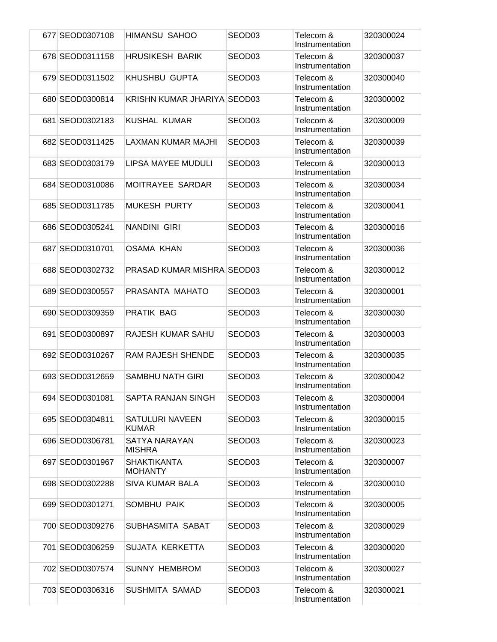| 677 SEOD0307108 | HIMANSU SAHOO                          | SEOD <sub>03</sub> | Telecom &<br>Instrumentation | 320300024 |
|-----------------|----------------------------------------|--------------------|------------------------------|-----------|
| 678 SEOD0311158 | <b>HRUSIKESH BARIK</b>                 | SEOD <sub>03</sub> | Telecom &<br>Instrumentation | 320300037 |
| 679 SEOD0311502 | <b>KHUSHBU GUPTA</b>                   | SEOD <sub>03</sub> | Telecom &<br>Instrumentation | 320300040 |
| 680 SEOD0300814 | KRISHN KUMAR JHARIYA SEOD03            |                    | Telecom &<br>Instrumentation | 320300002 |
| 681 SEOD0302183 | <b>KUSHAL KUMAR</b>                    | SEOD <sub>03</sub> | Telecom &<br>Instrumentation | 320300009 |
| 682 SEOD0311425 | LAXMAN KUMAR MAJHI                     | SEOD <sub>03</sub> | Telecom &<br>Instrumentation | 320300039 |
| 683 SEOD0303179 | LIPSA MAYEE MUDULI                     | SEOD <sub>03</sub> | Telecom &<br>Instrumentation | 320300013 |
| 684 SEOD0310086 | MOITRAYEE SARDAR                       | SEOD <sub>03</sub> | Telecom &<br>Instrumentation | 320300034 |
| 685 SEOD0311785 | <b>MUKESH PURTY</b>                    | SEOD <sub>03</sub> | Telecom &<br>Instrumentation | 320300041 |
| 686 SEOD0305241 | NANDINI GIRI                           | SEOD <sub>03</sub> | Telecom &<br>Instrumentation | 320300016 |
| 687 SEOD0310701 | <b>OSAMA KHAN</b>                      | SEOD <sub>03</sub> | Telecom &<br>Instrumentation | 320300036 |
| 688 SEOD0302732 | <b>PRASAD KUMAR MISHRA SEOD03</b>      |                    | Telecom &<br>Instrumentation | 320300012 |
| 689 SEOD0300557 | PRASANTA MAHATO                        | SEOD <sub>03</sub> | Telecom &<br>Instrumentation | 320300001 |
| 690 SEOD0309359 | <b>PRATIK BAG</b>                      | SEOD <sub>03</sub> | Telecom &<br>Instrumentation | 320300030 |
| 691 SEOD0300897 | RAJESH KUMAR SAHU                      | SEOD <sub>03</sub> | Telecom &<br>Instrumentation | 320300003 |
| 692 SEOD0310267 | <b>RAM RAJESH SHENDE</b>               | SEOD <sub>03</sub> | Telecom &<br>Instrumentation | 320300035 |
| 693 SEOD0312659 | <b>SAMBHU NATH GIRI</b>                | SEOD <sub>03</sub> | Telecom &<br>Instrumentation | 320300042 |
| 694 SEOD0301081 | SAPTA RANJAN SINGH                     | SEOD03             | Telecom &<br>Instrumentation | 320300004 |
| 695 SEOD0304811 | <b>SATULURI NAVEEN</b><br><b>KUMAR</b> | SEOD03             | Telecom &<br>Instrumentation | 320300015 |
| 696 SEOD0306781 | <b>SATYA NARAYAN</b><br><b>MISHRA</b>  | SEOD03             | Telecom &<br>Instrumentation | 320300023 |
| 697 SEOD0301967 | <b>SHAKTIKANTA</b><br><b>MOHANTY</b>   | SEOD03             | Telecom &<br>Instrumentation | 320300007 |
| 698 SEOD0302288 | <b>SIVA KUMAR BALA</b>                 | SEOD03             | Telecom &<br>Instrumentation | 320300010 |
| 699 SEOD0301271 | <b>SOMBHU PAIK</b>                     | SEOD03             | Telecom &<br>Instrumentation | 320300005 |
| 700 SEOD0309276 | SUBHASMITA SABAT                       | SEOD03             | Telecom &<br>Instrumentation | 320300029 |
| 701 SEOD0306259 | SUJATA KERKETTA                        | SEOD <sub>03</sub> | Telecom &<br>Instrumentation | 320300020 |
| 702 SEOD0307574 | <b>SUNNY HEMBROM</b>                   | SEOD03             | Telecom &<br>Instrumentation | 320300027 |
| 703 SEOD0306316 | <b>SUSHMITA SAMAD</b>                  | SEOD03             | Telecom &<br>Instrumentation | 320300021 |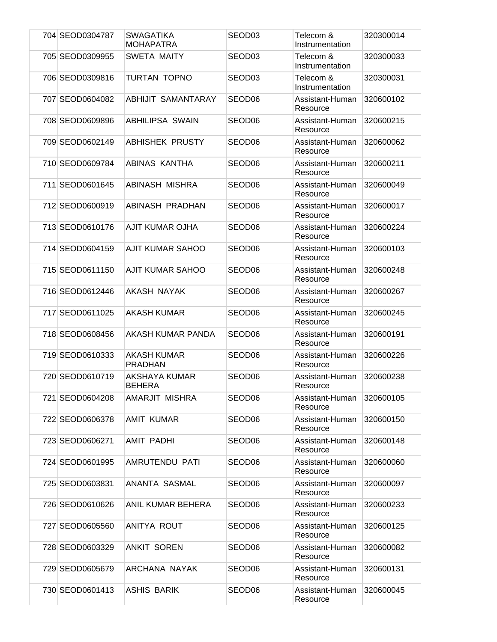| 704 SEOD0304787 | <b>SWAGATIKA</b><br><b>MOHAPATRA</b> | SEOD03             | Telecom &<br>Instrumentation | 320300014 |
|-----------------|--------------------------------------|--------------------|------------------------------|-----------|
| 705 SEOD0309955 | <b>SWETA MAITY</b>                   | SEOD <sub>03</sub> | Telecom &<br>Instrumentation | 320300033 |
| 706 SEOD0309816 | TURTAN TOPNO                         | SEOD <sub>03</sub> | Telecom &<br>Instrumentation | 320300031 |
| 707 SEOD0604082 | ABHIJIT SAMANTARAY                   | SEOD <sub>06</sub> | Assistant-Human<br>Resource  | 320600102 |
| 708 SEOD0609896 | <b>ABHILIPSA SWAIN</b>               | SEOD <sub>06</sub> | Assistant-Human<br>Resource  | 320600215 |
| 709 SEOD0602149 | <b>ABHISHEK PRUSTY</b>               | SEOD <sub>06</sub> | Assistant-Human<br>Resource  | 320600062 |
| 710 SEOD0609784 | ABINAS KANTHA                        | SEOD <sub>06</sub> | Assistant-Human<br>Resource  | 320600211 |
| 711 SEOD0601645 | ABINASH MISHRA                       | SEOD <sub>06</sub> | Assistant-Human<br>Resource  | 320600049 |
| 712 SEOD0600919 | ABINASH PRADHAN                      | SEOD <sub>06</sub> | Assistant-Human<br>Resource  | 320600017 |
| 713 SEOD0610176 | AJIT KUMAR OJHA                      | SEOD <sub>06</sub> | Assistant-Human<br>Resource  | 320600224 |
| 714 SEOD0604159 | <b>AJIT KUMAR SAHOO</b>              | SEOD <sub>06</sub> | Assistant-Human<br>Resource  | 320600103 |
| 715 SEOD0611150 | AJIT KUMAR SAHOO                     | SEOD06             | Assistant-Human<br>Resource  | 320600248 |
| 716 SEOD0612446 | AKASH NAYAK                          | SEOD <sub>06</sub> | Assistant-Human<br>Resource  | 320600267 |
| 717 SEOD0611025 | <b>AKASH KUMAR</b>                   | SEOD06             | Assistant-Human<br>Resource  | 320600245 |
| 718 SEOD0608456 | AKASH KUMAR PANDA                    | SEOD <sub>06</sub> | Assistant-Human<br>Resource  | 320600191 |
| 719 SEOD0610333 | <b>AKASH KUMAR</b><br><b>PRADHAN</b> | SEOD <sub>06</sub> | Assistant-Human<br>Resource  | 320600226 |
| 720 SEOD0610719 | AKSHAYA KUMAR<br><b>BEHERA</b>       | SEOD <sub>06</sub> | Assistant-Human<br>Resource  | 320600238 |
| 721 SEOD0604208 | AMARJIT MISHRA                       | SEOD06             | Assistant-Human<br>Resource  | 320600105 |
| 722 SEOD0606378 | <b>AMIT KUMAR</b>                    | SEOD06             | Assistant-Human<br>Resource  | 320600150 |
| 723 SEOD0606271 | <b>AMIT PADHI</b>                    | SEOD <sub>06</sub> | Assistant-Human<br>Resource  | 320600148 |
| 724 SEOD0601995 | AMRUTENDU PATI                       | SEOD06             | Assistant-Human<br>Resource  | 320600060 |
| 725 SEOD0603831 | ANANTA SASMAL                        | SEOD06             | Assistant-Human<br>Resource  | 320600097 |
| 726 SEOD0610626 | ANIL KUMAR BEHERA                    | SEOD06             | Assistant-Human<br>Resource  | 320600233 |
| 727 SEOD0605560 | ANITYA ROUT                          | SEOD <sub>06</sub> | Assistant-Human<br>Resource  | 320600125 |
| 728 SEOD0603329 | <b>ANKIT SOREN</b>                   | SEOD <sub>06</sub> | Assistant-Human<br>Resource  | 320600082 |
| 729 SEOD0605679 | ARCHANA NAYAK                        | SEOD06             | Assistant-Human<br>Resource  | 320600131 |
| 730 SEOD0601413 | <b>ASHIS BARIK</b>                   | SEOD06             | Assistant-Human<br>Resource  | 320600045 |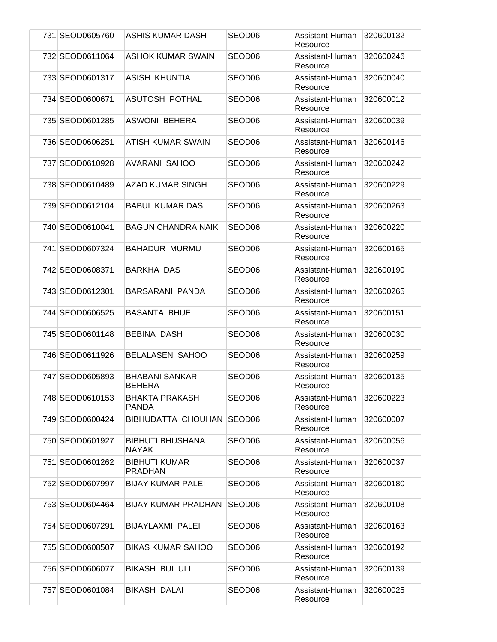| 731 SEOD0605760 | ASHIS KUMAR DASH                        | SEOD06             | Assistant-Human<br>Resource | 320600132 |
|-----------------|-----------------------------------------|--------------------|-----------------------------|-----------|
| 732 SEOD0611064 | <b>ASHOK KUMAR SWAIN</b>                | SEOD <sub>06</sub> | Assistant-Human<br>Resource | 320600246 |
| 733 SEOD0601317 | <b>ASISH KHUNTIA</b>                    | SEOD <sub>06</sub> | Assistant-Human<br>Resource | 320600040 |
| 734 SEOD0600671 | ASUTOSH POTHAL                          | SEOD <sub>06</sub> | Assistant-Human<br>Resource | 320600012 |
| 735 SEOD0601285 | <b>ASWONI BEHERA</b>                    | SEOD <sub>06</sub> | Assistant-Human<br>Resource | 320600039 |
| 736 SEOD0606251 | ATISH KUMAR SWAIN                       | SEOD <sub>06</sub> | Assistant-Human<br>Resource | 320600146 |
| 737 SEOD0610928 | <b>AVARANI SAHOO</b>                    | SEOD <sub>06</sub> | Assistant-Human<br>Resource | 320600242 |
| 738 SEOD0610489 | <b>AZAD KUMAR SINGH</b>                 | SEOD06             | Assistant-Human<br>Resource | 320600229 |
| 739 SEOD0612104 | <b>BABUL KUMAR DAS</b>                  | SEOD <sub>06</sub> | Assistant-Human<br>Resource | 320600263 |
| 740 SEOD0610041 | <b>BAGUN CHANDRA NAIK</b>               | SEOD <sub>06</sub> | Assistant-Human<br>Resource | 320600220 |
| 741 SEOD0607324 | <b>BAHADUR MURMU</b>                    | SEOD <sub>06</sub> | Assistant-Human<br>Resource | 320600165 |
| 742 SEOD0608371 | <b>BARKHA DAS</b>                       | SEOD <sub>06</sub> | Assistant-Human<br>Resource | 320600190 |
| 743 SEOD0612301 | <b>BARSARANI PANDA</b>                  | SEOD <sub>06</sub> | Assistant-Human<br>Resource | 320600265 |
| 744 SEOD0606525 | <b>BASANTA BHUE</b>                     | SEOD <sub>06</sub> | Assistant-Human<br>Resource | 320600151 |
| 745 SEOD0601148 | <b>BEBINA DASH</b>                      | SEOD <sub>06</sub> | Assistant-Human<br>Resource | 320600030 |
| 746 SEOD0611926 | <b>BELALASEN SAHOO</b>                  | SEOD06             | Assistant-Human<br>Resource | 320600259 |
| 747 SEOD0605893 | <b>BHABANI SANKAR</b><br><b>BEHERA</b>  | SEOD06             | Assistant-Human<br>Resource | 320600135 |
| 748 SEOD0610153 | <b>BHAKTA PRAKASH</b><br><b>PANDA</b>   | SEOD <sub>06</sub> | Assistant-Human<br>Resource | 320600223 |
| 749 SEOD0600424 | BIBHUDATTA CHOUHAN                      | SEOD <sub>06</sub> | Assistant-Human<br>Resource | 320600007 |
| 750 SEOD0601927 | <b>BIBHUTI BHUSHANA</b><br><b>NAYAK</b> | SEOD <sub>06</sub> | Assistant-Human<br>Resource | 320600056 |
| 751 SEOD0601262 | <b>BIBHUTI KUMAR</b><br><b>PRADHAN</b>  | SEOD06             | Assistant-Human<br>Resource | 320600037 |
| 752 SEOD0607997 | <b>BIJAY KUMAR PALEI</b>                | SEOD <sub>06</sub> | Assistant-Human<br>Resource | 320600180 |
| 753 SEOD0604464 | <b>BIJAY KUMAR PRADHAN</b>              | SEOD <sub>06</sub> | Assistant-Human<br>Resource | 320600108 |
| 754 SEOD0607291 | <b>BIJAYLAXMI PALEI</b>                 | SEOD <sub>06</sub> | Assistant-Human<br>Resource | 320600163 |
| 755 SEOD0608507 | <b>BIKAS KUMAR SAHOO</b>                | SEOD <sub>06</sub> | Assistant-Human<br>Resource | 320600192 |
| 756 SEOD0606077 | <b>BIKASH BULIULI</b>                   | SEOD06             | Assistant-Human<br>Resource | 320600139 |
| 757 SEOD0601084 | <b>BIKASH DALAI</b>                     | SEOD06             | Assistant-Human<br>Resource | 320600025 |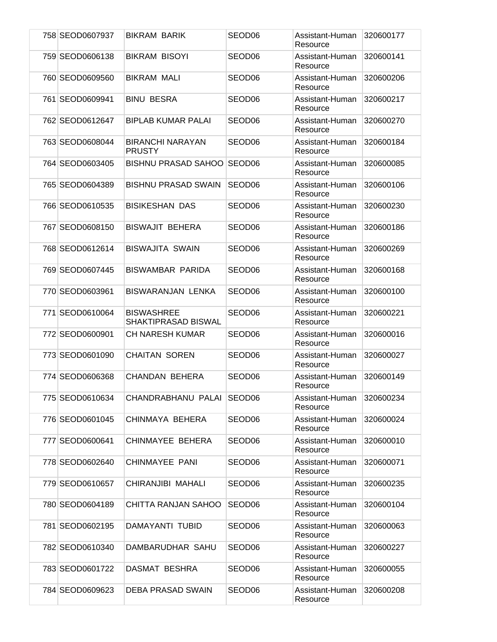| 758 SEOD0607937 | <b>BIKRAM BARIK</b>                      | SEOD06             | Assistant-Human<br>Resource | 320600177 |
|-----------------|------------------------------------------|--------------------|-----------------------------|-----------|
| 759 SEOD0606138 | <b>BIKRAM BISOYI</b>                     | SEOD <sub>06</sub> | Assistant-Human<br>Resource | 320600141 |
| 760 SEOD0609560 | <b>BIKRAM MALI</b>                       | SEOD <sub>06</sub> | Assistant-Human<br>Resource | 320600206 |
| 761 SEOD0609941 | <b>BINU BESRA</b>                        | SEOD <sub>06</sub> | Assistant-Human<br>Resource | 320600217 |
| 762 SEOD0612647 | <b>BIPLAB KUMAR PALAI</b>                | SEOD <sub>06</sub> | Assistant-Human<br>Resource | 320600270 |
| 763 SEOD0608044 | <b>BIRANCHI NARAYAN</b><br><b>PRUSTY</b> | SEOD <sub>06</sub> | Assistant-Human<br>Resource | 320600184 |
| 764 SEOD0603405 | <b>BISHNU PRASAD SAHOO</b>               | SEOD <sub>06</sub> | Assistant-Human<br>Resource | 320600085 |
| 765 SEOD0604389 | <b>BISHNU PRASAD SWAIN</b>               | SEOD06             | Assistant-Human<br>Resource | 320600106 |
| 766 SEOD0610535 | <b>BISIKESHAN DAS</b>                    | SEOD <sub>06</sub> | Assistant-Human<br>Resource | 320600230 |
| 767 SEOD0608150 | <b>BISWAJIT BEHERA</b>                   | SEOD <sub>06</sub> | Assistant-Human<br>Resource | 320600186 |
| 768 SEOD0612614 | <b>BISWAJITA SWAIN</b>                   | SEOD <sub>06</sub> | Assistant-Human<br>Resource | 320600269 |
| 769 SEOD0607445 | <b>BISWAMBAR PARIDA</b>                  | SEOD <sub>06</sub> | Assistant-Human<br>Resource | 320600168 |
| 770 SEOD0603961 | <b>BISWARANJAN LENKA</b>                 | SEOD <sub>06</sub> | Assistant-Human<br>Resource | 320600100 |
| 771 SEOD0610064 | <b>BISWASHREE</b><br>SHAKTIPRASAD BISWAL | SEOD <sub>06</sub> | Assistant-Human<br>Resource | 320600221 |
| 772 SEOD0600901 | <b>CH NARESH KUMAR</b>                   | SEOD <sub>06</sub> | Assistant-Human<br>Resource | 320600016 |
| 773 SEOD0601090 | <b>CHAITAN SOREN</b>                     | SEOD06             | Assistant-Human<br>Resource | 320600027 |
| 774 SEOD0606368 | CHANDAN BEHERA                           | SEOD <sub>06</sub> | Assistant-Human<br>Resource | 320600149 |
| 775 SEOD0610634 | CHANDRABHANU PALAI                       | SEOD <sub>06</sub> | Assistant-Human<br>Resource | 320600234 |
| 776 SEOD0601045 | CHINMAYA BEHERA                          | SEOD <sub>06</sub> | Assistant-Human<br>Resource | 320600024 |
| 777 SEOD0600641 | CHINMAYEE BEHERA                         | SEOD <sub>06</sub> | Assistant-Human<br>Resource | 320600010 |
| 778 SEOD0602640 | CHINMAYEE PANI                           | SEOD06             | Assistant-Human<br>Resource | 320600071 |
| 779 SEOD0610657 | CHIRANJIBI MAHALI                        | SEOD <sub>06</sub> | Assistant-Human<br>Resource | 320600235 |
| 780 SEOD0604189 | CHITTA RANJAN SAHOO                      | SEOD <sub>06</sub> | Assistant-Human<br>Resource | 320600104 |
| 781 SEOD0602195 | DAMAYANTI TUBID                          | SEOD06             | Assistant-Human<br>Resource | 320600063 |
| 782 SEOD0610340 | DAMBARUDHAR SAHU                         | SEOD06             | Assistant-Human<br>Resource | 320600227 |
| 783 SEOD0601722 | DASMAT BESHRA                            | SEOD06             | Assistant-Human<br>Resource | 320600055 |
| 784 SEOD0609623 | <b>DEBA PRASAD SWAIN</b>                 | SEOD06             | Assistant-Human<br>Resource | 320600208 |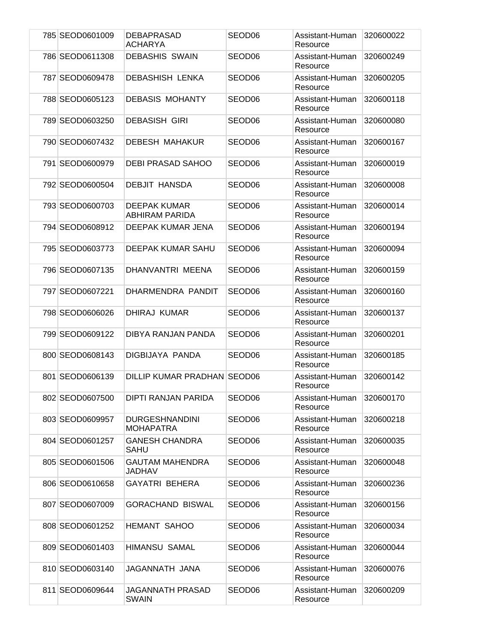| 785 SEOD0601009 | <b>DEBAPRASAD</b><br>ACHARYA              | SEOD06             | Assistant-Human<br>Resource | 320600022 |
|-----------------|-------------------------------------------|--------------------|-----------------------------|-----------|
| 786 SEOD0611308 | <b>DEBASHIS SWAIN</b>                     | SEOD <sub>06</sub> | Assistant-Human<br>Resource | 320600249 |
| 787 SEOD0609478 | <b>DEBASHISH LENKA</b>                    | SEOD <sub>06</sub> | Assistant-Human<br>Resource | 320600205 |
| 788 SEOD0605123 | <b>DEBASIS MOHANTY</b>                    | SEOD <sub>06</sub> | Assistant-Human<br>Resource | 320600118 |
| 789 SEOD0603250 | <b>DEBASISH GIRI</b>                      | SEOD06             | Assistant-Human<br>Resource | 320600080 |
| 790 SEOD0607432 | <b>DEBESH MAHAKUR</b>                     | SEOD <sub>06</sub> | Assistant-Human<br>Resource | 320600167 |
| 791 SEOD0600979 | <b>DEBI PRASAD SAHOO</b>                  | SEOD <sub>06</sub> | Assistant-Human<br>Resource | 320600019 |
| 792 SEOD0600504 | <b>DEBJIT HANSDA</b>                      | SEOD <sub>06</sub> | Assistant-Human<br>Resource | 320600008 |
| 793 SEOD0600703 | <b>DEEPAK KUMAR</b><br>ABHIRAM PARIDA     | SEOD06             | Assistant-Human<br>Resource | 320600014 |
| 794 SEOD0608912 | DEEPAK KUMAR JENA                         | SEOD <sub>06</sub> | Assistant-Human<br>Resource | 320600194 |
| 795 SEOD0603773 | <b>DEEPAK KUMAR SAHU</b>                  | SEOD <sub>06</sub> | Assistant-Human<br>Resource | 320600094 |
| 796 SEOD0607135 | DHANVANTRI MEENA                          | SEOD <sub>06</sub> | Assistant-Human<br>Resource | 320600159 |
| 797 SEOD0607221 | DHARMENDRA PANDIT                         | SEOD <sub>06</sub> | Assistant-Human<br>Resource | 320600160 |
| 798 SEOD0606026 | DHIRAJ KUMAR                              | SEOD06             | Assistant-Human<br>Resource | 320600137 |
| 799 SEOD0609122 | DIBYA RANJAN PANDA                        | SEOD <sub>06</sub> | Assistant-Human<br>Resource | 320600201 |
| 800 SEOD0608143 | DIGBIJAYA PANDA                           | SEOD06             | Assistant-Human<br>Resource | 320600185 |
| 801 SEOD0606139 | DILLIP KUMAR PRADHAN SEOD06               |                    | Assistant-Human<br>Resource | 320600142 |
| 802 SEOD0607500 | DIPTI RANJAN PARIDA                       | SEOD <sub>06</sub> | Assistant-Human<br>Resource | 320600170 |
| 803 SEOD0609957 | <b>DURGESHNANDINI</b><br><b>MOHAPATRA</b> | SEOD <sub>06</sub> | Assistant-Human<br>Resource | 320600218 |
| 804 SEOD0601257 | <b>GANESH CHANDRA</b><br>SAHU             | SEOD <sub>06</sub> | Assistant-Human<br>Resource | 320600035 |
| 805 SEOD0601506 | <b>GAUTAM MAHENDRA</b><br>JADHAV          | SEOD06             | Assistant-Human<br>Resource | 320600048 |
| 806 SEOD0610658 | <b>GAYATRI BEHERA</b>                     | SEOD06             | Assistant-Human<br>Resource | 320600236 |
| 807 SEOD0607009 | <b>GORACHAND BISWAL</b>                   | SEOD06             | Assistant-Human<br>Resource | 320600156 |
| 808 SEOD0601252 | <b>HEMANT SAHOO</b>                       | SEOD <sub>06</sub> | Assistant-Human<br>Resource | 320600034 |
| 809 SEOD0601403 | <b>HIMANSU SAMAL</b>                      | SEOD06             | Assistant-Human<br>Resource | 320600044 |
| 810 SEOD0603140 | JAGANNATH JANA                            | SEOD <sub>06</sub> | Assistant-Human<br>Resource | 320600076 |
| 811 SEOD0609644 | JAGANNATH PRASAD<br>SWAIN                 | SEOD06             | Assistant-Human<br>Resource | 320600209 |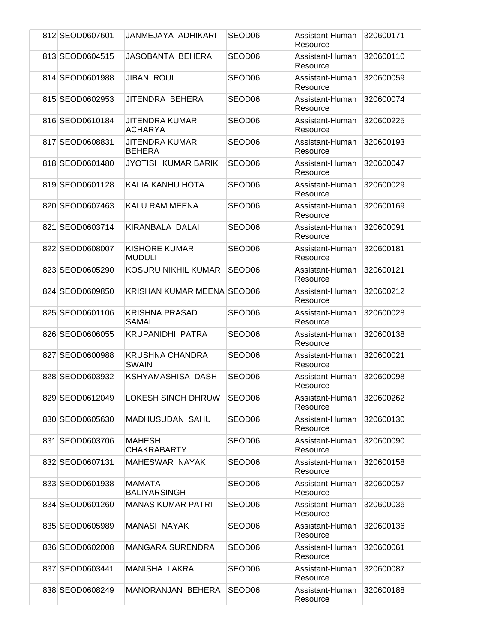|  | 812 SEOD0607601 | JANMEJAYA ADHIKARI                      | SEOD <sub>06</sub> | Assistant-Human<br>Resource | 320600171 |
|--|-----------------|-----------------------------------------|--------------------|-----------------------------|-----------|
|  | 813 SEOD0604515 | <b>JASOBANTA BEHERA</b>                 | SEOD <sub>06</sub> | Assistant-Human<br>Resource | 320600110 |
|  | 814 SEOD0601988 | <b>JIBAN ROUL</b>                       | SEOD <sub>06</sub> | Assistant-Human<br>Resource | 320600059 |
|  | 815 SEOD0602953 | JITENDRA BEHERA                         | SEOD <sub>06</sub> | Assistant-Human<br>Resource | 320600074 |
|  | 816 SEOD0610184 | <b>JITENDRA KUMAR</b><br><b>ACHARYA</b> | SEOD <sub>06</sub> | Assistant-Human<br>Resource | 320600225 |
|  | 817 SEOD0608831 | <b>JITENDRA KUMAR</b><br><b>BEHERA</b>  | SEOD <sub>06</sub> | Assistant-Human<br>Resource | 320600193 |
|  | 818 SEOD0601480 | <b>JYOTISH KUMAR BARIK</b>              | SEOD <sub>06</sub> | Assistant-Human<br>Resource | 320600047 |
|  | 819 SEOD0601128 | KALIA KANHU HOTA                        | SEOD <sub>06</sub> | Assistant-Human<br>Resource | 320600029 |
|  | 820 SEOD0607463 | <b>KALU RAM MEENA</b>                   | SEOD <sub>06</sub> | Assistant-Human<br>Resource | 320600169 |
|  | 821 SEOD0603714 | KIRANBALA DALAI                         | SEOD <sub>06</sub> | Assistant-Human<br>Resource | 320600091 |
|  | 822 SEOD0608007 | <b>KISHORE KUMAR</b><br><b>MUDULI</b>   | SEOD <sub>06</sub> | Assistant-Human<br>Resource | 320600181 |
|  | 823 SEOD0605290 | KOSURU NIKHIL KUMAR                     | SEOD <sub>06</sub> | Assistant-Human<br>Resource | 320600121 |
|  | 824 SEOD0609850 | <b>KRISHAN KUMAR MEENA SEOD06</b>       |                    | Assistant-Human<br>Resource | 320600212 |
|  | 825 SEOD0601106 | <b>KRISHNA PRASAD</b><br><b>SAMAL</b>   | SEOD <sub>06</sub> | Assistant-Human<br>Resource | 320600028 |
|  | 826 SEOD0606055 | KRUPANIDHI PATRA                        | SEOD <sub>06</sub> | Assistant-Human<br>Resource | 320600138 |
|  | 827 SEOD0600988 | <b>KRUSHNA CHANDRA</b><br><b>SWAIN</b>  | SEOD <sub>06</sub> | Assistant-Human<br>Resource | 320600021 |
|  | 828 SEOD0603932 | KSHYAMASHISA DASH                       | SEOD <sub>06</sub> | Assistant-Human<br>Resource | 320600098 |
|  | 829 SEOD0612049 | <b>LOKESH SINGH DHRUW</b>               | SEOD06             | Assistant-Human<br>Resource | 320600262 |
|  | 830 SEOD0605630 | <b>MADHUSUDAN SAHU</b>                  | SEOD <sub>06</sub> | Assistant-Human<br>Resource | 320600130 |
|  | 831 SEOD0603706 | MAHESH<br><b>CHAKRABARTY</b>            | SEOD06             | Assistant-Human<br>Resource | 320600090 |
|  | 832 SEOD0607131 | <b>MAHESWAR NAYAK</b>                   | SEOD06             | Assistant-Human<br>Resource | 320600158 |
|  | 833 SEOD0601938 | <b>MAMATA</b><br><b>BALIYARSINGH</b>    | SEOD06             | Assistant-Human<br>Resource | 320600057 |
|  | 834 SEOD0601260 | <b>MANAS KUMAR PATRI</b>                | SEOD <sub>06</sub> | Assistant-Human<br>Resource | 320600036 |
|  | 835 SEOD0605989 | <b>MANASI NAYAK</b>                     | SEOD <sub>06</sub> | Assistant-Human<br>Resource | 320600136 |
|  | 836 SEOD0602008 | <b>MANGARA SURENDRA</b>                 | SEOD <sub>06</sub> | Assistant-Human<br>Resource | 320600061 |
|  | 837 SEOD0603441 | <b>MANISHA LAKRA</b>                    | SEOD06             | Assistant-Human<br>Resource | 320600087 |
|  | 838 SEOD0608249 | <b>MANORANJAN BEHERA</b>                | SEOD06             | Assistant-Human<br>Resource | 320600188 |
|  |                 |                                         |                    |                             |           |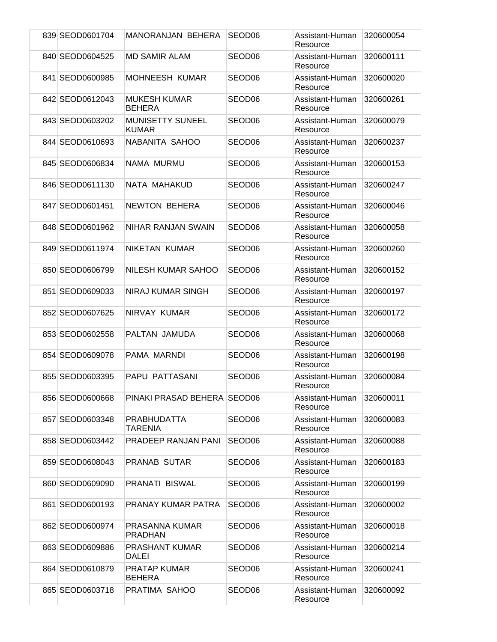| 839 SEOD0601704 | <b>MANORANJAN BEHERA</b>                | SEOD <sub>06</sub> | Assistant-Human<br>Resource | 320600054 |
|-----------------|-----------------------------------------|--------------------|-----------------------------|-----------|
| 840 SEOD0604525 | <b>MD SAMIR ALAM</b>                    | SEOD <sub>06</sub> | Assistant-Human<br>Resource | 320600111 |
| 841 SEOD0600985 | <b>MOHNEESH KUMAR</b>                   | SEOD <sub>06</sub> | Assistant-Human<br>Resource | 320600020 |
| 842 SEOD0612043 | <b>MUKESH KUMAR</b><br><b>BEHERA</b>    | SEOD <sub>06</sub> | Assistant-Human<br>Resource | 320600261 |
| 843 SEOD0603202 | <b>MUNISETTY SUNEEL</b><br><b>KUMAR</b> | SEOD <sub>06</sub> | Assistant-Human<br>Resource | 320600079 |
| 844 SEOD0610693 | NABANITA SAHOO                          | SEOD <sub>06</sub> | Assistant-Human<br>Resource | 320600237 |
| 845 SEOD0606834 | NAMA MURMU                              | SEOD <sub>06</sub> | Assistant-Human<br>Resource | 320600153 |
| 846 SEOD0611130 | NATA MAHAKUD                            | SEOD06             | Assistant-Human<br>Resource | 320600247 |
| 847 SEOD0601451 | NEWTON BEHERA                           | SEOD <sub>06</sub> | Assistant-Human<br>Resource | 320600046 |
| 848 SEOD0601962 | NIHAR RANJAN SWAIN                      | SEOD <sub>06</sub> | Assistant-Human<br>Resource | 320600058 |
| 849 SEOD0611974 | NIKETAN KUMAR                           | SEOD <sub>06</sub> | Assistant-Human<br>Resource | 320600260 |
| 850 SEOD0606799 | NILESH KUMAR SAHOO                      | SEOD <sub>06</sub> | Assistant-Human<br>Resource | 320600152 |
| 851 SEOD0609033 | NIRAJ KUMAR SINGH                       | SEOD06             | Assistant-Human<br>Resource | 320600197 |
| 852 SEOD0607625 | NIRVAY KUMAR                            | SEOD <sub>06</sub> | Assistant-Human<br>Resource | 320600172 |
| 853 SEOD0602558 | PALTAN JAMUDA                           | SEOD <sub>06</sub> | Assistant-Human<br>Resource | 320600068 |
| 854 SEOD0609078 | PAMA MARNDI                             | SEOD <sub>06</sub> | Assistant-Human<br>Resource | 320600198 |
| 855 SEOD0603395 | PAPU PATTASANI                          | SEOD <sub>06</sub> | Assistant-Human<br>Resource | 320600084 |
| 856 SEOD0600668 | PINAKI PRASAD BEHERA SEOD06             |                    | Assistant-Human<br>Resource | 320600011 |
| 857 SEOD0603348 | <b>PRABHUDATTA</b><br><b>TARENIA</b>    | SEOD <sub>06</sub> | Assistant-Human<br>Resource | 320600083 |
| 858 SEOD0603442 | PRADEEP RANJAN PANI                     | SEOD <sub>06</sub> | Assistant-Human<br>Resource | 320600088 |
| 859 SEOD0608043 | PRANAB SUTAR                            | SEOD06             | Assistant-Human<br>Resource | 320600183 |
| 860 SEOD0609090 | PRANATI BISWAL                          | SEOD06             | Assistant-Human<br>Resource | 320600199 |
| 861 SEOD0600193 | PRANAY KUMAR PATRA                      | SEOD <sub>06</sub> | Assistant-Human<br>Resource | 320600002 |
| 862 SEOD0600974 | PRASANNA KUMAR<br><b>PRADHAN</b>        | SEOD <sub>06</sub> | Assistant-Human<br>Resource | 320600018 |
| 863 SEOD0609886 | <b>PRASHANT KUMAR</b><br>DALEI          | SEOD06             | Assistant-Human<br>Resource | 320600214 |
| 864 SEOD0610879 | PRATAP KUMAR<br><b>BEHERA</b>           | SEOD06             | Assistant-Human<br>Resource | 320600241 |
| 865 SEOD0603718 | PRATIMA SAHOO                           | SEOD06             | Assistant-Human<br>Resource | 320600092 |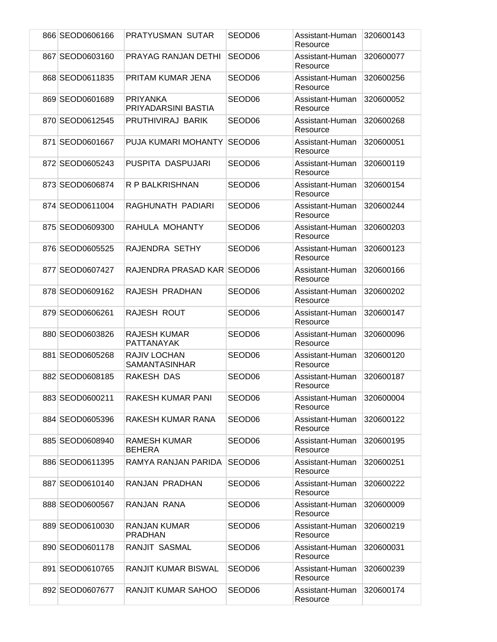| 866 SEOD0606166 | PRATYUSMAN SUTAR                            | SEOD <sub>06</sub> | Assistant-Human<br>Resource | 320600143 |
|-----------------|---------------------------------------------|--------------------|-----------------------------|-----------|
| 867 SEOD0603160 | PRAYAG RANJAN DETHI                         | SEOD <sub>06</sub> | Assistant-Human<br>Resource | 320600077 |
| 868 SEOD0611835 | PRITAM KUMAR JENA                           | SEOD <sub>06</sub> | Assistant-Human<br>Resource | 320600256 |
| 869 SEOD0601689 | <b>PRIYANKA</b><br>PRIYADARSINI BASTIA      | SEOD <sub>06</sub> | Assistant-Human<br>Resource | 320600052 |
| 870 SEOD0612545 | PRUTHIVIRAJ BARIK                           | SEOD <sub>06</sub> | Assistant-Human<br>Resource | 320600268 |
| 871 SEOD0601667 | PUJA KUMARI MOHANTY                         | SEOD <sub>06</sub> | Assistant-Human<br>Resource | 320600051 |
| 872 SEOD0605243 | PUSPITA DASPUJARI                           | SEOD <sub>06</sub> | Assistant-Human<br>Resource | 320600119 |
| 873 SEOD0606874 | R P BALKRISHNAN                             | SEOD06             | Assistant-Human<br>Resource | 320600154 |
| 874 SEOD0611004 | RAGHUNATH PADIARI                           | SEOD <sub>06</sub> | Assistant-Human<br>Resource | 320600244 |
| 875 SEOD0609300 | RAHULA MOHANTY                              | SEOD <sub>06</sub> | Assistant-Human<br>Resource | 320600203 |
| 876 SEOD0605525 | RAJENDRA SETHY                              | SEOD <sub>06</sub> | Assistant-Human<br>Resource | 320600123 |
| 877 SEOD0607427 | RAJENDRA PRASAD KAR SEOD06                  |                    | Assistant-Human<br>Resource | 320600166 |
| 878 SEOD0609162 | RAJESH PRADHAN                              | SEOD <sub>06</sub> | Assistant-Human<br>Resource | 320600202 |
| 879 SEOD0606261 | RAJESH ROUT                                 | SEOD <sub>06</sub> | Assistant-Human<br>Resource | 320600147 |
| 880 SEOD0603826 | <b>RAJESH KUMAR</b><br>PATTANAYAK           | SEOD <sub>06</sub> | Assistant-Human<br>Resource | 320600096 |
| 881 SEOD0605268 | <b>RAJIV LOCHAN</b><br><b>SAMANTASINHAR</b> | SEOD06             | Assistant-Human<br>Resource | 320600120 |
| 882 SEOD0608185 | RAKESH DAS                                  | SEOD <sub>06</sub> | Assistant-Human<br>Resource | 320600187 |
| 883 SEOD0600211 | RAKESH KUMAR PANI                           | SEOD <sub>06</sub> | Assistant-Human<br>Resource | 320600004 |
| 884 SEOD0605396 | RAKESH KUMAR RANA                           | SEOD <sub>06</sub> | Assistant-Human<br>Resource | 320600122 |
| 885 SEOD0608940 | <b>RAMESH KUMAR</b><br><b>BEHERA</b>        | SEOD <sub>06</sub> | Assistant-Human<br>Resource | 320600195 |
| 886 SEOD0611395 | RAMYA RANJAN PARIDA                         | SEOD06             | Assistant-Human<br>Resource | 320600251 |
| 887 SEOD0610140 | RANJAN PRADHAN                              | SEOD06             | Assistant-Human<br>Resource | 320600222 |
| 888 SEOD0600567 | RANJAN RANA                                 | SEOD06             | Assistant-Human<br>Resource | 320600009 |
| 889 SEOD0610030 | RANJAN KUMAR<br><b>PRADHAN</b>              | SEOD06             | Assistant-Human<br>Resource | 320600219 |
| 890 SEOD0601178 | RANJIT SASMAL                               | SEOD06             | Assistant-Human<br>Resource | 320600031 |
| 891 SEOD0610765 | <b>RANJIT KUMAR BISWAL</b>                  | SEOD <sub>06</sub> | Assistant-Human<br>Resource | 320600239 |
| 892 SEOD0607677 | RANJIT KUMAR SAHOO                          | SEOD06             | Assistant-Human<br>Resource | 320600174 |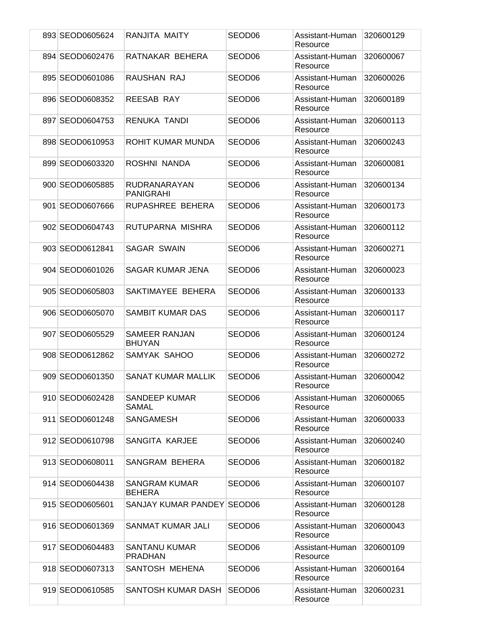| 893 SEOD0605624 | RANJITA MAITY                    | SEOD06             | Assistant-Human<br>Resource | 320600129 |
|-----------------|----------------------------------|--------------------|-----------------------------|-----------|
| 894 SEOD0602476 | RATNAKAR BEHERA                  | SEOD06             | Assistant-Human<br>Resource | 320600067 |
| 895 SEOD0601086 | RAUSHAN RAJ                      | SEOD <sub>06</sub> | Assistant-Human<br>Resource | 320600026 |
| 896 SEOD0608352 | <b>REESAB RAY</b>                | SEOD <sub>06</sub> | Assistant-Human<br>Resource | 320600189 |
| 897 SEOD0604753 | RENUKA TANDI                     | SEOD <sub>06</sub> | Assistant-Human<br>Resource | 320600113 |
| 898 SEOD0610953 | ROHIT KUMAR MUNDA                | SEOD <sub>06</sub> | Assistant-Human<br>Resource | 320600243 |
| 899 SEOD0603320 | ROSHNI NANDA                     | SEOD <sub>06</sub> | Assistant-Human<br>Resource | 320600081 |
| 900 SEOD0605885 | RUDRANARAYAN<br><b>PANIGRAHI</b> | SEOD06             | Assistant-Human<br>Resource | 320600134 |
| 901 SEOD0607666 | RUPASHREE BEHERA                 | SEOD <sub>06</sub> | Assistant-Human<br>Resource | 320600173 |
| 902 SEOD0604743 | RUTUPARNA MISHRA                 | SEOD <sub>06</sub> | Assistant-Human<br>Resource | 320600112 |
| 903 SEOD0612841 | <b>SAGAR SWAIN</b>               | SEOD <sub>06</sub> | Assistant-Human<br>Resource | 320600271 |
| 904 SEOD0601026 | SAGAR KUMAR JENA                 | SEOD <sub>06</sub> | Assistant-Human<br>Resource | 320600023 |
| 905 SEOD0605803 | SAKTIMAYEE BEHERA                | SEOD <sub>06</sub> | Assistant-Human<br>Resource | 320600133 |
| 906 SEOD0605070 | SAMBIT KUMAR DAS                 | SEOD06             | Assistant-Human<br>Resource | 320600117 |
| 907 SEOD0605529 | SAMEER RANJAN<br><b>BHUYAN</b>   | SEOD <sub>06</sub> | Assistant-Human<br>Resource | 320600124 |
| 908 SEOD0612862 | SAMYAK SAHOO                     | SEOD06             | Assistant-Human<br>Resource | 320600272 |
| 909 SEOD0601350 | SANAT KUMAR MALLIK               | SEOD <sub>06</sub> | Assistant-Human<br>Resource | 320600042 |
| 910 SEOD0602428 | <b>SANDEEP KUMAR</b><br>SAMAL    | SEOD06             | Assistant-Human<br>Resource | 320600065 |
| 911 SEOD0601248 | SANGAMESH                        | SEOD06             | Assistant-Human<br>Resource | 320600033 |
| 912 SEOD0610798 | SANGITA KARJEE                   | SEOD <sub>06</sub> | Assistant-Human<br>Resource | 320600240 |
| 913 SEOD0608011 | SANGRAM BEHERA                   | SEOD06             | Assistant-Human<br>Resource | 320600182 |
| 914 SEOD0604438 | SANGRAM KUMAR<br><b>BEHERA</b>   | SEOD <sub>06</sub> | Assistant-Human<br>Resource | 320600107 |
| 915 SEOD0605601 | SANJAY KUMAR PANDEY SEOD06       |                    | Assistant-Human<br>Resource | 320600128 |
| 916 SEOD0601369 | SANMAT KUMAR JALI                | SEOD <sub>06</sub> | Assistant-Human<br>Resource | 320600043 |
| 917 SEOD0604483 | SANTANU KUMAR<br><b>PRADHAN</b>  | SEOD <sub>06</sub> | Assistant-Human<br>Resource | 320600109 |
| 918 SEOD0607313 | SANTOSH MEHENA                   | SEOD06             | Assistant-Human<br>Resource | 320600164 |
| 919 SEOD0610585 | SANTOSH KUMAR DASH               | SEOD <sub>06</sub> | Assistant-Human<br>Resource | 320600231 |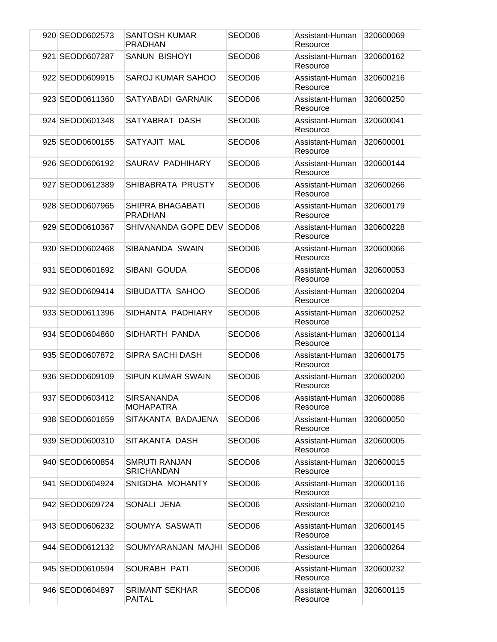| 920 SEOD0602573 | <b>SANTOSH KUMAR</b><br><b>PRADHAN</b>    | SEOD06             | Assistant-Human<br>Resource | 320600069 |
|-----------------|-------------------------------------------|--------------------|-----------------------------|-----------|
| 921 SEOD0607287 | <b>SANUN BISHOYI</b>                      | SEOD <sub>06</sub> | Assistant-Human<br>Resource | 320600162 |
| 922 SEOD0609915 | SAROJ KUMAR SAHOO                         | SEOD <sub>06</sub> | Assistant-Human<br>Resource | 320600216 |
| 923 SEOD0611360 | SATYABADI GARNAIK                         | SEOD <sub>06</sub> | Assistant-Human<br>Resource | 320600250 |
| 924 SEOD0601348 | SATYABRAT DASH                            | SEOD <sub>06</sub> | Assistant-Human<br>Resource | 320600041 |
| 925 SEOD0600155 | SATYAJIT MAL                              | SEOD <sub>06</sub> | Assistant-Human<br>Resource | 320600001 |
| 926 SEOD0606192 | SAURAV PADHIHARY                          | SEOD <sub>06</sub> | Assistant-Human<br>Resource | 320600144 |
| 927 SEOD0612389 | SHIBABRATA PRUSTY                         | SEOD06             | Assistant-Human<br>Resource | 320600266 |
| 928 SEOD0607965 | SHIPRA BHAGABATI<br><b>PRADHAN</b>        | SEOD <sub>06</sub> | Assistant-Human<br>Resource | 320600179 |
| 929 SEOD0610367 | SHIVANANDA GOPE DEV                       | SEOD <sub>06</sub> | Assistant-Human<br>Resource | 320600228 |
| 930 SEOD0602468 | SIBANANDA SWAIN                           | SEOD <sub>06</sub> | Assistant-Human<br>Resource | 320600066 |
| 931 SEOD0601692 | SIBANI GOUDA                              | SEOD <sub>06</sub> | Assistant-Human<br>Resource | 320600053 |
| 932 SEOD0609414 | SIBUDATTA SAHOO                           | SEOD06             | Assistant-Human<br>Resource | 320600204 |
| 933 SEOD0611396 | SIDHANTA PADHIARY                         | SEOD <sub>06</sub> | Assistant-Human<br>Resource | 320600252 |
| 934 SEOD0604860 | SIDHARTH PANDA                            | SEOD <sub>06</sub> | Assistant-Human<br>Resource | 320600114 |
| 935 SEOD0607872 | SIPRA SACHI DASH                          | SEOD06             | Assistant-Human<br>Resource | 320600175 |
| 936 SEOD0609109 | SIPUN KUMAR SWAIN                         | SEOD <sub>06</sub> | Assistant-Human<br>Resource | 320600200 |
| 937 SEOD0603412 | <b>SIRSANANDA</b><br><b>MOHAPATRA</b>     | SEOD06             | Assistant-Human<br>Resource | 320600086 |
| 938 SEOD0601659 | SITAKANTA BADAJENA                        | SEOD <sub>06</sub> | Assistant-Human<br>Resource | 320600050 |
| 939 SEOD0600310 | SITAKANTA DASH                            | SEOD <sub>06</sub> | Assistant-Human<br>Resource | 320600005 |
| 940 SEOD0600854 | <b>SMRUTI RANJAN</b><br><b>SRICHANDAN</b> | SEOD06             | Assistant-Human<br>Resource | 320600015 |
| 941 SEOD0604924 | SNIGDHA MOHANTY                           | SEOD <sub>06</sub> | Assistant-Human<br>Resource | 320600116 |
| 942 SEOD0609724 | SONALI JENA                               | SEOD06             | Assistant-Human<br>Resource | 320600210 |
| 943 SEOD0606232 | SOUMYA SASWATI                            | SEOD <sub>06</sub> | Assistant-Human<br>Resource | 320600145 |
| 944 SEOD0612132 | SOUMYARANJAN MAJHI                        | SEOD <sub>06</sub> | Assistant-Human<br>Resource | 320600264 |
| 945 SEOD0610594 | SOURABH PATI                              | SEOD06             | Assistant-Human<br>Resource | 320600232 |
| 946 SEOD0604897 | <b>SRIMANT SEKHAR</b><br><b>PAITAL</b>    | SEOD06             | Assistant-Human<br>Resource | 320600115 |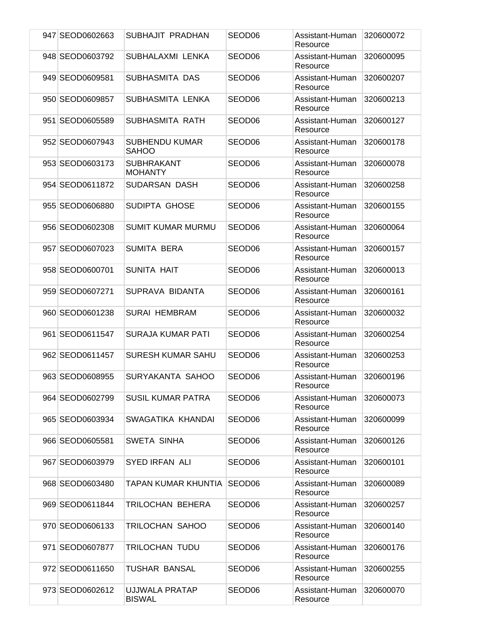| 947 SEOD0602663 | SUBHAJIT PRADHAN                      | SEOD <sub>06</sub> | Assistant-Human<br>Resource | 320600072 |
|-----------------|---------------------------------------|--------------------|-----------------------------|-----------|
| 948 SEOD0603792 | SUBHALAXMI LENKA                      | SEOD <sub>06</sub> | Assistant-Human<br>Resource | 320600095 |
| 949 SEOD0609581 | SUBHASMITA DAS                        | SEOD <sub>06</sub> | Assistant-Human<br>Resource | 320600207 |
| 950 SEOD0609857 | SUBHASMITA LENKA                      | SEOD <sub>06</sub> | Assistant-Human<br>Resource | 320600213 |
| 951 SEOD0605589 | SUBHASMITA RATH                       | SEOD <sub>06</sub> | Assistant-Human<br>Resource | 320600127 |
| 952 SEOD0607943 | <b>SUBHENDU KUMAR</b><br><b>SAHOO</b> | SEOD <sub>06</sub> | Assistant-Human<br>Resource | 320600178 |
| 953 SEOD0603173 | <b>SUBHRAKANT</b><br><b>MOHANTY</b>   | SEOD <sub>06</sub> | Assistant-Human<br>Resource | 320600078 |
| 954 SEOD0611872 | SUDARSAN DASH                         | SEOD <sub>06</sub> | Assistant-Human<br>Resource | 320600258 |
| 955 SEOD0606880 | SUDIPTA GHOSE                         | SEOD <sub>06</sub> | Assistant-Human<br>Resource | 320600155 |
| 956 SEOD0602308 | <b>SUMIT KUMAR MURMU</b>              | SEOD <sub>06</sub> | Assistant-Human<br>Resource | 320600064 |
| 957 SEOD0607023 | <b>SUMITA BERA</b>                    | SEOD <sub>06</sub> | Assistant-Human<br>Resource | 320600157 |
| 958 SEOD0600701 | SUNITA HAIT                           | SEOD06             | Assistant-Human<br>Resource | 320600013 |
| 959 SEOD0607271 | SUPRAVA BIDANTA                       | SEOD06             | Assistant-Human<br>Resource | 320600161 |
| 960 SEOD0601238 | <b>SURAI HEMBRAM</b>                  | SEOD <sub>06</sub> | Assistant-Human<br>Resource | 320600032 |
| 961 SEOD0611547 | SURAJA KUMAR PATI                     | SEOD <sub>06</sub> | Assistant-Human<br>Resource | 320600254 |
| 962 SEOD0611457 | <b>SURESH KUMAR SAHU</b>              | SEOD <sub>06</sub> | Assistant-Human<br>Resource | 320600253 |
| 963 SEOD0608955 | SURYAKANTA SAHOO                      | SEOD <sub>06</sub> | Assistant-Human<br>Resource | 320600196 |
| 964 SEOD0602799 | <b>SUSIL KUMAR PATRA</b>              | SEOD06             | Assistant-Human<br>Resource | 320600073 |
| 965 SEOD0603934 | SWAGATIKA KHANDAI                     | SEOD06             | Assistant-Human<br>Resource | 320600099 |
| 966 SEOD0605581 | SWETA SINHA                           | SEOD <sub>06</sub> | Assistant-Human<br>Resource | 320600126 |
| 967 SEOD0603979 | SYED IRFAN ALI                        | SEOD06             | Assistant-Human<br>Resource | 320600101 |
| 968 SEOD0603480 | <b>TAPAN KUMAR KHUNTIA</b>            | SEOD <sub>06</sub> | Assistant-Human<br>Resource | 320600089 |
| 969 SEOD0611844 | TRILOCHAN BEHERA                      | SEOD <sub>06</sub> | Assistant-Human<br>Resource | 320600257 |
| 970 SEOD0606133 | TRILOCHAN SAHOO                       | SEOD <sub>06</sub> | Assistant-Human<br>Resource | 320600140 |
| 971 SEOD0607877 | <b>TRILOCHAN TUDU</b>                 | SEOD06             | Assistant-Human<br>Resource | 320600176 |
| 972 SEOD0611650 | <b>TUSHAR BANSAL</b>                  | SEOD06             | Assistant-Human<br>Resource | 320600255 |
| 973 SEOD0602612 | UJJWALA PRATAP<br><b>BISWAL</b>       | SEOD06             | Assistant-Human<br>Resource | 320600070 |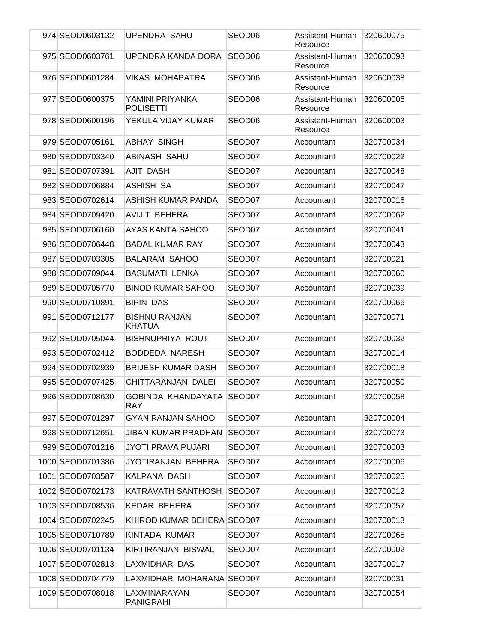| 974 SEOD0603132  | <b>UPENDRA SAHU</b>                     | SEOD06             | Assistant-Human<br>Resource | 320600075 |
|------------------|-----------------------------------------|--------------------|-----------------------------|-----------|
| 975 SEOD0603761  | UPENDRA KANDA DORA                      | SEOD <sub>06</sub> | Assistant-Human<br>Resource | 320600093 |
| 976 SEOD0601284  | <b>VIKAS MOHAPATRA</b>                  | SEOD <sub>06</sub> | Assistant-Human<br>Resource | 320600038 |
| 977 SEOD0600375  | YAMINI PRIYANKA<br><b>POLISETTI</b>     | SEOD <sub>06</sub> | Assistant-Human<br>Resource | 320600006 |
| 978 SEOD0600196  | YEKULA VIJAY KUMAR                      | SEOD <sub>06</sub> | Assistant-Human<br>Resource | 320600003 |
| 979 SEOD0705161  | <b>ABHAY SINGH</b>                      | SEOD07             | Accountant                  | 320700034 |
| 980 SEOD0703340  | ABINASH SAHU                            | SEOD07             | Accountant                  | 320700022 |
| 981 SEOD0707391  | AJIT DASH                               | SEOD07             | Accountant                  | 320700048 |
| 982 SEOD0706884  | ASHISH SA                               | SEOD07             | Accountant                  | 320700047 |
| 983 SEOD0702614  | ASHISH KUMAR PANDA                      | SEOD07             | Accountant                  | 320700016 |
| 984 SEOD0709420  | <b>AVIJIT BEHERA</b>                    | SEOD07             | Accountant                  | 320700062 |
| 985 SEOD0706160  | AYAS KANTA SAHOO                        | SEOD07             | Accountant                  | 320700041 |
| 986 SEOD0706448  | <b>BADAL KUMAR RAY</b>                  | SEOD07             | Accountant                  | 320700043 |
| 987 SEOD0703305  | <b>BALARAM SAHOO</b>                    | SEOD07             | Accountant                  | 320700021 |
| 988 SEOD0709044  | <b>BASUMATI LENKA</b>                   | SEOD07             | Accountant                  | 320700060 |
| 989 SEOD0705770  | <b>BINOD KUMAR SAHOO</b>                | SEOD07             | Accountant                  | 320700039 |
| 990 SEOD0710891  | <b>BIPIN DAS</b>                        | SEOD07             | Accountant                  | 320700066 |
| 991 SEOD0712177  | <b>BISHNU RANJAN</b><br><b>KHATUA</b>   | SEOD07             | Accountant                  | 320700071 |
| 992 SEOD0705044  | <b>BISHNUPRIYA ROUT</b>                 | SEOD07             | Accountant                  | 320700032 |
| 993 SEOD0702412  | BODDEDA NARESH                          | SEOD07             | Accountant                  | 320700014 |
| 994 SEOD0702939  | <b>BRIJESH KUMAR DASH</b>               | SEOD07             | Accountant                  | 320700018 |
| 995 SEOD0707425  | CHITTARANJAN DALEI                      | SEOD07             | Accountant                  | 320700050 |
| 996 SEOD0708630  | GOBINDA KHANDAYATA SEOD07<br><b>RAY</b> |                    | Accountant                  | 320700058 |
| 997 SEOD0701297  | <b>GYAN RANJAN SAHOO</b>                | SEOD07             | Accountant                  | 320700004 |
| 998 SEOD0712651  | <b>JIBAN KUMAR PRADHAN</b>              | SEOD07             | Accountant                  | 320700073 |
| 999 SEOD0701216  | <b>JYOTI PRAVA PUJARI</b>               | SEOD07             | Accountant                  | 320700003 |
| 1000 SEOD0701386 | JYOTIRANJAN BEHERA                      | SEOD07             | Accountant                  | 320700006 |
| 1001 SEOD0703587 | KALPANA DASH                            | SEOD07             | Accountant                  | 320700025 |
| 1002 SEOD0702173 | KATRAVATH SANTHOSH                      | SEOD07             | Accountant                  | 320700012 |
| 1003 SEOD0708536 | <b>KEDAR BEHERA</b>                     | SEOD07             | Accountant                  | 320700057 |
| 1004 SEOD0702245 | KHIROD KUMAR BEHERA SEOD07              |                    | Accountant                  | 320700013 |
| 1005 SEOD0710789 | KINTADA KUMAR                           | SEOD07             | Accountant                  | 320700065 |
| 1006 SEOD0701134 | KIRTIRANJAN BISWAL                      | SEOD07             | Accountant                  | 320700002 |
| 1007 SEOD0702813 | LAXMIDHAR DAS                           | SEOD07             | Accountant                  | 320700017 |
| 1008 SEOD0704779 | LAXMIDHAR MOHARANA SEOD07               |                    | Accountant                  | 320700031 |
| 1009 SEOD0708018 | LAXMINARAYAN<br><b>PANIGRAHI</b>        | SEOD07             | Accountant                  | 320700054 |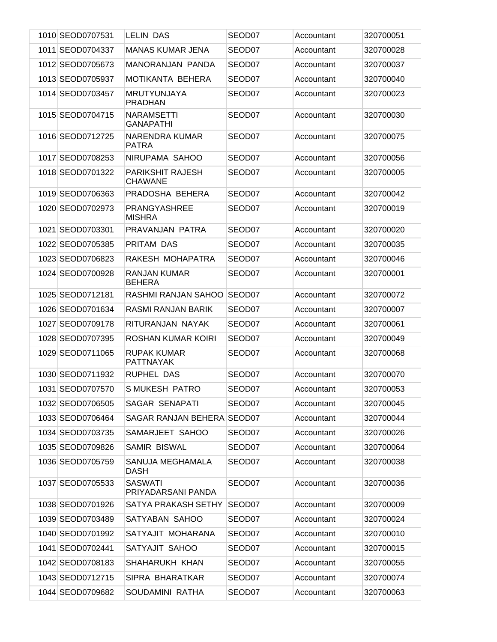| 1010 SEOD0707531 | <b>LELIN DAS</b>                          | SEOD07 | Accountant | 320700051 |
|------------------|-------------------------------------------|--------|------------|-----------|
| 1011 SEOD0704337 | <b>MANAS KUMAR JENA</b>                   | SEOD07 | Accountant | 320700028 |
| 1012 SEOD0705673 | MANORANJAN PANDA                          | SEOD07 | Accountant | 320700037 |
| 1013 SEOD0705937 | MOTIKANTA BEHERA                          | SEOD07 | Accountant | 320700040 |
| 1014 SEOD0703457 | <b>MRUTYUNJAYA</b><br><b>PRADHAN</b>      | SEOD07 | Accountant | 320700023 |
| 1015 SEOD0704715 | <b>NARAMSETTI</b><br><b>GANAPATHI</b>     | SEOD07 | Accountant | 320700030 |
| 1016 SEOD0712725 | <b>NARENDRA KUMAR</b><br><b>PATRA</b>     | SEOD07 | Accountant | 320700075 |
| 1017 SEOD0708253 | NIRUPAMA SAHOO                            | SEOD07 | Accountant | 320700056 |
| 1018 SEOD0701322 | <b>PARIKSHIT RAJESH</b><br><b>CHAWANE</b> | SEOD07 | Accountant | 320700005 |
| 1019 SEOD0706363 | PRADOSHA BEHERA                           | SEOD07 | Accountant | 320700042 |
| 1020 SEOD0702973 | PRANGYASHREE<br><b>MISHRA</b>             | SEOD07 | Accountant | 320700019 |
| 1021 SEOD0703301 | PRAVANJAN PATRA                           | SEOD07 | Accountant | 320700020 |
| 1022 SEOD0705385 | PRITAM DAS                                | SEOD07 | Accountant | 320700035 |
| 1023 SEOD0706823 | RAKESH MOHAPATRA                          | SEOD07 | Accountant | 320700046 |
| 1024 SEOD0700928 | RANJAN KUMAR<br><b>BEHERA</b>             | SEOD07 | Accountant | 320700001 |
| 1025 SEOD0712181 | RASHMI RANJAN SAHOO                       | SEOD07 | Accountant | 320700072 |
| 1026 SEOD0701634 | RASMI RANJAN BARIK                        | SEOD07 | Accountant | 320700007 |
| 1027 SEOD0709178 | RITURANJAN NAYAK                          | SEOD07 | Accountant | 320700061 |
| 1028 SEOD0707395 | ROSHAN KUMAR KOIRI                        | SEOD07 | Accountant | 320700049 |
| 1029 SEOD0711065 | <b>RUPAK KUMAR</b><br><b>PATTNAYAK</b>    | SEOD07 | Accountant | 320700068 |
| 1030 SEOD0711932 | <b>RUPHEL DAS</b>                         | SEOD07 | Accountant | 320700070 |
| 1031 SEOD0707570 | S MUKESH PATRO                            | SEOD07 | Accountant | 320700053 |
| 1032 SEOD0706505 | SAGAR SENAPATI                            | SEOD07 | Accountant | 320700045 |
| 1033 SEOD0706464 | SAGAR RANJAN BEHERA SEOD07                |        | Accountant | 320700044 |
| 1034 SEOD0703735 | SAMARJEET SAHOO                           | SEOD07 | Accountant | 320700026 |
| 1035 SEOD0709826 | SAMIR BISWAL                              | SEOD07 | Accountant | 320700064 |
| 1036 SEOD0705759 | SANUJA MEGHAMALA<br>DASH                  | SEOD07 | Accountant | 320700038 |
| 1037 SEOD0705533 | SASWATI<br>PRIYADARSANI PANDA             | SEOD07 | Accountant | 320700036 |
| 1038 SEOD0701926 | SATYA PRAKASH SETHY                       | SEOD07 | Accountant | 320700009 |
| 1039 SEOD0703489 | SATYABAN SAHOO                            | SEOD07 | Accountant | 320700024 |
| 1040 SEOD0701992 | SATYAJIT MOHARANA                         | SEOD07 | Accountant | 320700010 |
| 1041 SEOD0702441 | SATYAJIT SAHOO                            | SEOD07 | Accountant | 320700015 |
| 1042 SEOD0708183 | SHAHARUKH KHAN                            | SEOD07 | Accountant | 320700055 |
| 1043 SEOD0712715 | SIPRA BHARATKAR                           | SEOD07 | Accountant | 320700074 |
| 1044 SEOD0709682 | SOUDAMINI RATHA                           | SEOD07 | Accountant | 320700063 |